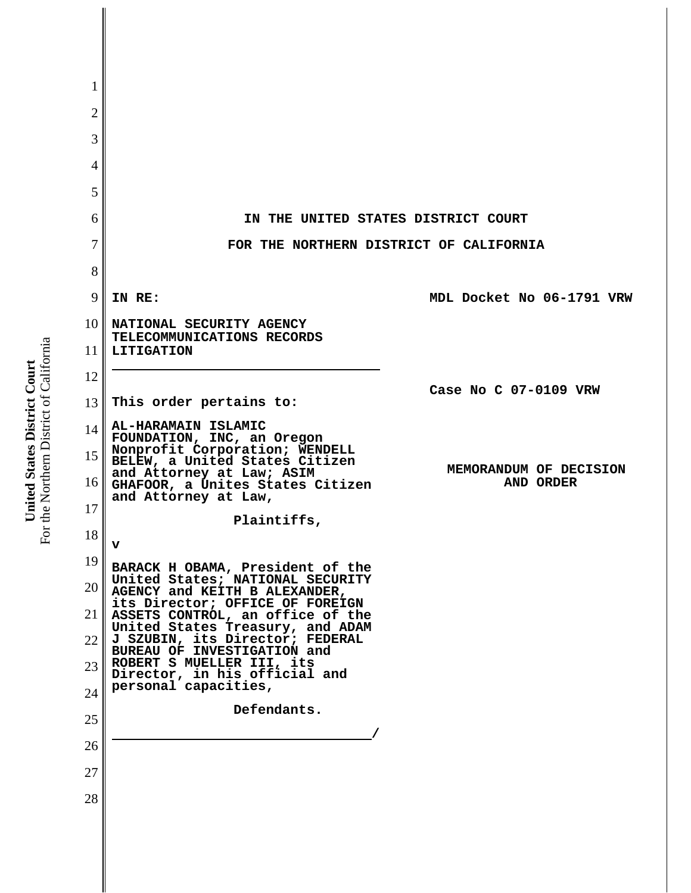| 1               |                                                                                                         |                           |
|-----------------|---------------------------------------------------------------------------------------------------------|---------------------------|
| $\overline{2}$  |                                                                                                         |                           |
| 3               |                                                                                                         |                           |
| 4               |                                                                                                         |                           |
| 5               |                                                                                                         |                           |
| 6               | IN THE UNITED STATES DISTRICT COURT                                                                     |                           |
| 7               | FOR THE NORTHERN DISTRICT OF CALIFORNIA                                                                 |                           |
| 8               |                                                                                                         |                           |
| 9               | IN RE:                                                                                                  | MDL Docket No 06-1791 VRW |
| 10 <sup>1</sup> | NATIONAL SECURITY AGENCY<br>TELECOMMUNICATIONS RECORDS                                                  |                           |
| 11              | <b>LITIGATION</b>                                                                                       |                           |
| 12              |                                                                                                         | Case No C 07-0109 VRW     |
| 13              | This order pertains to:                                                                                 |                           |
| 14              | AL-HARAMAIN ISLAMIC<br>FOUNDATION, INC, an Oregon                                                       |                           |
| 15              | Nonprofit Corporation; WENDELL<br>BELEW, a United States Citizen                                        | MEMORANDUM OF DECISION    |
| 16              | and Attorney at Law; ASIM<br>GHAFOOR, a Unites States Citizen<br>and Attorney at Law,                   | AND ORDER                 |
| 17              | Plaintiffs,                                                                                             |                           |
| 18              | v                                                                                                       |                           |
| 19              | BARACK H OBAMA, President of the                                                                        |                           |
| 20              | United States; NATIONAL SECURITY<br>AGENCY and KEITH B ALEXANDER,                                       |                           |
| 21              | its Director; OFFICE OF FOREIGN<br>ASSETS CONTROL, an office of the<br>United States Treasury, and ADAM |                           |
| 22              | J SZUBIN, its Director; FEDERAL<br>BUREAU OF INVESTIGATION and                                          |                           |
| 23              | ROBERT S MUELLER III, its<br>Director, in his official and                                              |                           |
| 24              | personal capacities,                                                                                    |                           |
| 25              | Defendants.                                                                                             |                           |
| 26              |                                                                                                         |                           |
| 27              |                                                                                                         |                           |
| 28              |                                                                                                         |                           |
|                 |                                                                                                         |                           |

**United States District Court**<br>For the Northern District of California For the Northern District of California **United States District Court**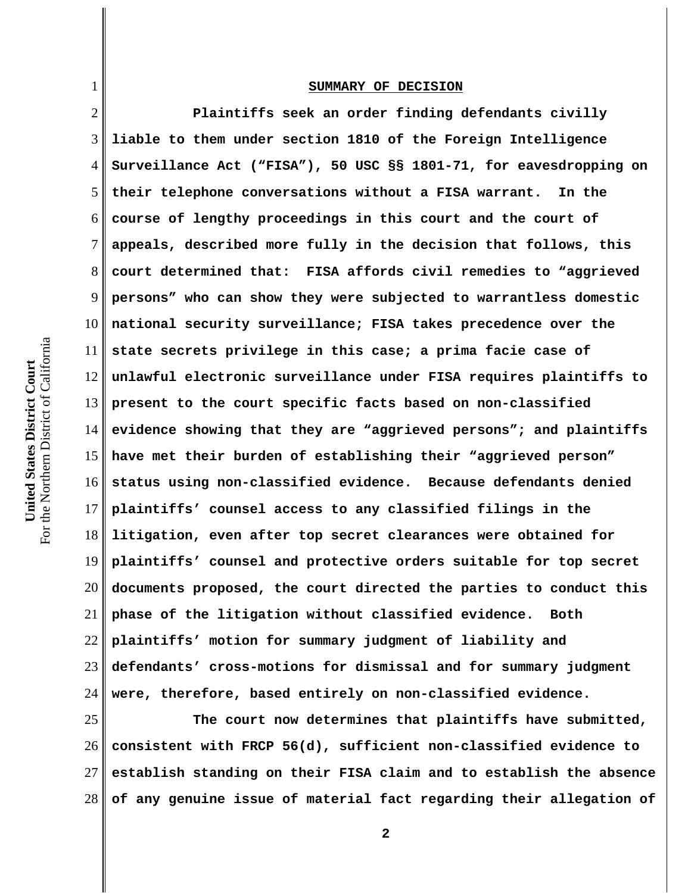## **SUMMARY OF DECISION**

2 3 4 5 6 7 8 9 10 11 12 13 14 15 16 17 18 19 20 21 22 23 24 **Plaintiffs seek an order finding defendants civilly liable to them under section 1810 of the Foreign Intelligence Surveillance Act ("FISA"), 50 USC §§ 1801-71, for eavesdropping on their telephone conversations without a FISA warrant. In the course of lengthy proceedings in this court and the court of appeals, described more fully in the decision that follows, this court determined that: FISA affords civil remedies to "aggrieved persons" who can show they were subjected to warrantless domestic national security surveillance; FISA takes precedence over the state secrets privilege in this case; a prima facie case of unlawful electronic surveillance under FISA requires plaintiffs to present to the court specific facts based on non-classified evidence showing that they are "aggrieved persons"; and plaintiffs have met their burden of establishing their "aggrieved person" status using non-classified evidence. Because defendants denied plaintiffs' counsel access to any classified filings in the litigation, even after top secret clearances were obtained for plaintiffs' counsel and protective orders suitable for top secret documents proposed, the court directed the parties to conduct this phase of the litigation without classified evidence. Both plaintiffs' motion for summary judgment of liability and defendants' cross-motions for dismissal and for summary judgment were, therefore, based entirely on non-classified evidence.** 

25 26 27 28 **The court now determines that plaintiffs have submitted, consistent with FRCP 56(d), sufficient non-classified evidence to establish standing on their FISA claim and to establish the absence of any genuine issue of material fact regarding their allegation of**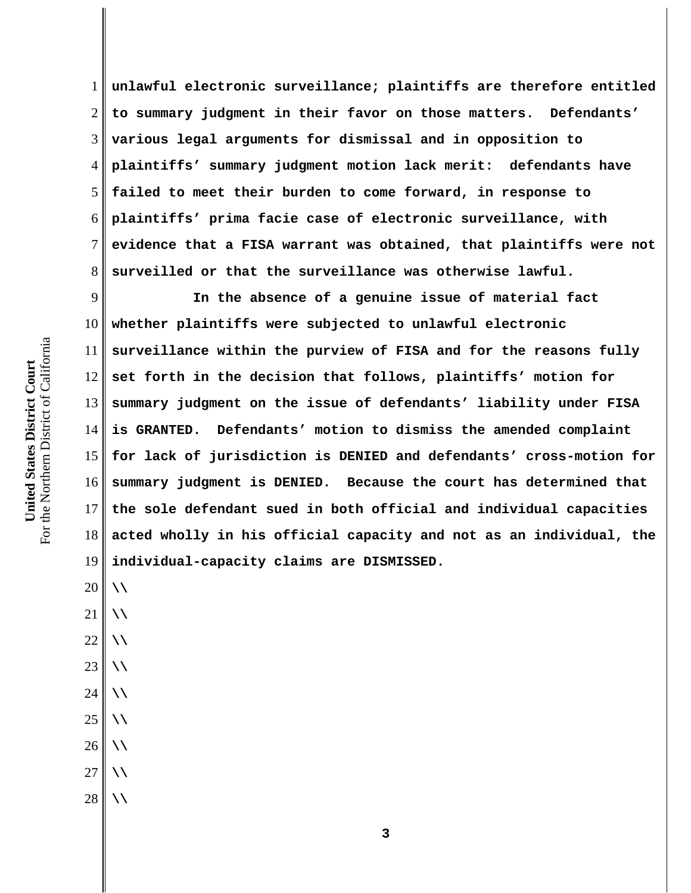1 2 3 4 5 6 7 8 **unlawful electronic surveillance; plaintiffs are therefore entitled to summary judgment in their favor on those matters. Defendants' various legal arguments for dismissal and in opposition to plaintiffs' summary judgment motion lack merit: defendants have failed to meet their burden to come forward, in response to plaintiffs' prima facie case of electronic surveillance, with evidence that a FISA warrant was obtained, that plaintiffs were not surveilled or that the surveillance was otherwise lawful.** 

9 10 11 12 13 14 15 16 17 18 19 **In the absence of a genuine issue of material fact whether plaintiffs were subjected to unlawful electronic surveillance within the purview of FISA and for the reasons fully set forth in the decision that follows, plaintiffs' motion for summary judgment on the issue of defendants' liability under FISA is GRANTED. Defendants' motion to dismiss the amended complaint for lack of jurisdiction is DENIED and defendants' cross-motion for summary judgment is DENIED. Because the court has determined that the sole defendant sued in both official and individual capacities acted wholly in his official capacity and not as an individual, the individual-capacity claims are DISMISSED.**

20 21 22 23 24 25 26 27 28 **\\ \\ \\ \\ \\ \\ \\ \\ \\**

**3**

For the Northern District of California For the Northern District of California United States District Court **United States District Court**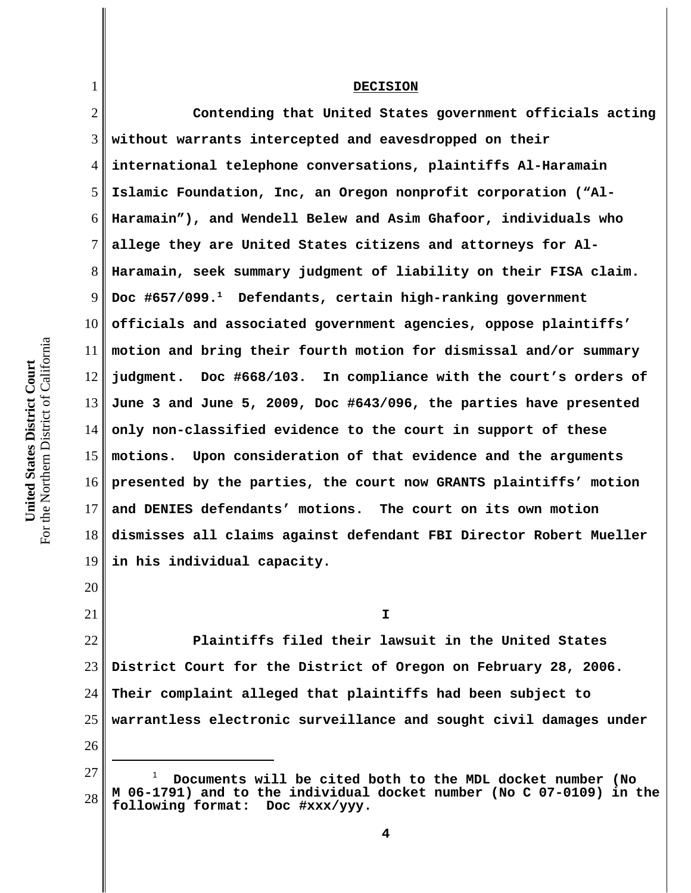## **DECISION**

2 3 4 5 6 7 8 9 10 11 12 13 14 15 16 17 18 19 20 21 **Contending that United States government officials acting without warrants intercepted and eavesdropped on their international telephone conversations, plaintiffs Al-Haramain Islamic Foundation, Inc, an Oregon nonprofit corporation ("Al-Haramain"), and Wendell Belew and Asim Ghafoor, individuals who allege they are United States citizens and attorneys for Al-Haramain, seek summary judgment of liability on their FISA claim. Doc #657/099.1 Defendants, certain high-ranking government officials and associated government agencies, oppose plaintiffs' motion and bring their fourth motion for dismissal and/or summary judgment. Doc #668/103. In compliance with the court's orders of June 3 and June 5, 2009, Doc #643/096, the parties have presented only non-classified evidence to the court in support of these motions. Upon consideration of that evidence and the arguments presented by the parties, the court now GRANTS plaintiffs' motion and DENIES defendants' motions. The court on its own motion dismisses all claims against defendant FBI Director Robert Mueller in his individual capacity. I**

22 23 24 25 26 **Plaintiffs filed their lawsuit in the United States District Court for the District of Oregon on February 28, 2006. Their complaint alleged that plaintiffs had been subject to warrantless electronic surveillance and sought civil damages under**

27 28 1  **Documents will be cited both to the MDL docket number (No M 06-1791) and to the individual docket number (No C 07-0109) in the following format: Doc #xxx/yyy.**

1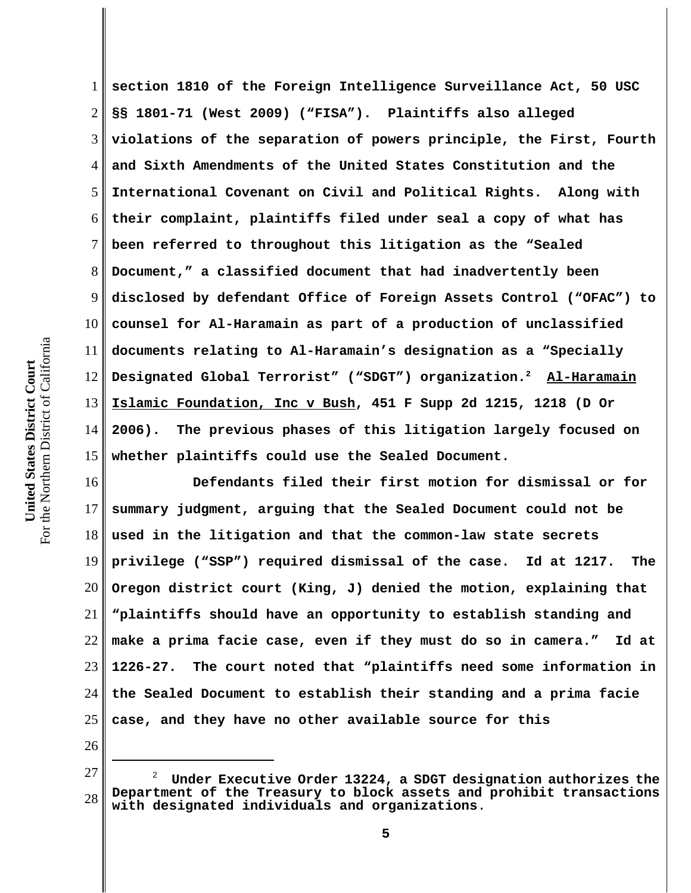1 2 3 4 5 6 7 8 9 10 11 12 13 14 15 **section 1810 of the Foreign Intelligence Surveillance Act, 50 USC §§ 1801-71 (West 2009) ("FISA"). Plaintiffs also alleged violations of the separation of powers principle, the First, Fourth and Sixth Amendments of the United States Constitution and the International Covenant on Civil and Political Rights. Along with their complaint, plaintiffs filed under seal a copy of what has been referred to throughout this litigation as the "Sealed Document," a classified document that had inadvertently been disclosed by defendant Office of Foreign Assets Control ("OFAC") to counsel for Al-Haramain as part of a production of unclassified documents relating to Al-Haramain's designation as a "Specially Designated Global Terrorist" ("SDGT") organization.2 Al-Haramain Islamic Foundation, Inc v Bush, 451 F Supp 2d 1215, 1218 (D Or 2006). The previous phases of this litigation largely focused on whether plaintiffs could use the Sealed Document.**

16 17 18 19 20 21 22 23 24 25 **Defendants filed their first motion for dismissal or for summary judgment, arguing that the Sealed Document could not be used in the litigation and that the common-law state secrets privilege ("SSP") required dismissal of the case. Id at 1217. The Oregon district court (King, J) denied the motion, explaining that "plaintiffs should have an opportunity to establish standing and make a prima facie case, even if they must do so in camera." Id at 1226-27. The court noted that "plaintiffs need some information in the Sealed Document to establish their standing and a prima facie case, and they have no other available source for this**

<sup>27</sup> 28 <sup>2</sup> **Under Executive Order 13224, a SDGT designation authorizes the Department of the Treasury to block assets and prohibit transactions with designated individuals and organizations**.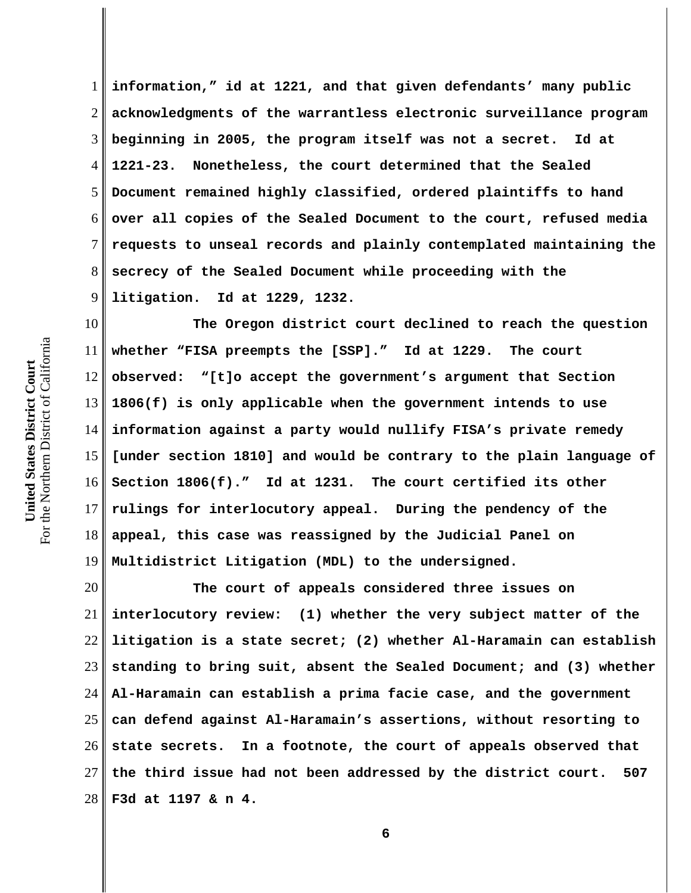1 2 3 4 5 6 7 8 9 **information," id at 1221, and that given defendants' many public acknowledgments of the warrantless electronic surveillance program beginning in 2005, the program itself was not a secret. Id at 1221-23. Nonetheless, the court determined that the Sealed Document remained highly classified, ordered plaintiffs to hand over all copies of the Sealed Document to the court, refused media requests to unseal records and plainly contemplated maintaining the secrecy of the Sealed Document while proceeding with the litigation. Id at 1229, 1232.**

10 11 12 13 14 15 16 17 18 19 **The Oregon district court declined to reach the question whether "FISA preempts the [SSP]." Id at 1229. The court observed: "[t]o accept the government's argument that Section 1806(f) is only applicable when the government intends to use information against a party would nullify FISA's private remedy [under section 1810] and would be contrary to the plain language of Section 1806(f)." Id at 1231. The court certified its other rulings for interlocutory appeal. During the pendency of the appeal, this case was reassigned by the Judicial Panel on Multidistrict Litigation (MDL) to the undersigned.** 

20 21 22 23 24 25 26 27 28 **The court of appeals considered three issues on interlocutory review: (1) whether the very subject matter of the litigation is a state secret; (2) whether Al-Haramain can establish standing to bring suit, absent the Sealed Document; and (3) whether Al-Haramain can establish a prima facie case, and the government can defend against Al-Haramain's assertions, without resorting to state secrets. In a footnote, the court of appeals observed that the third issue had not been addressed by the district court. 507 F3d at 1197 & n 4.**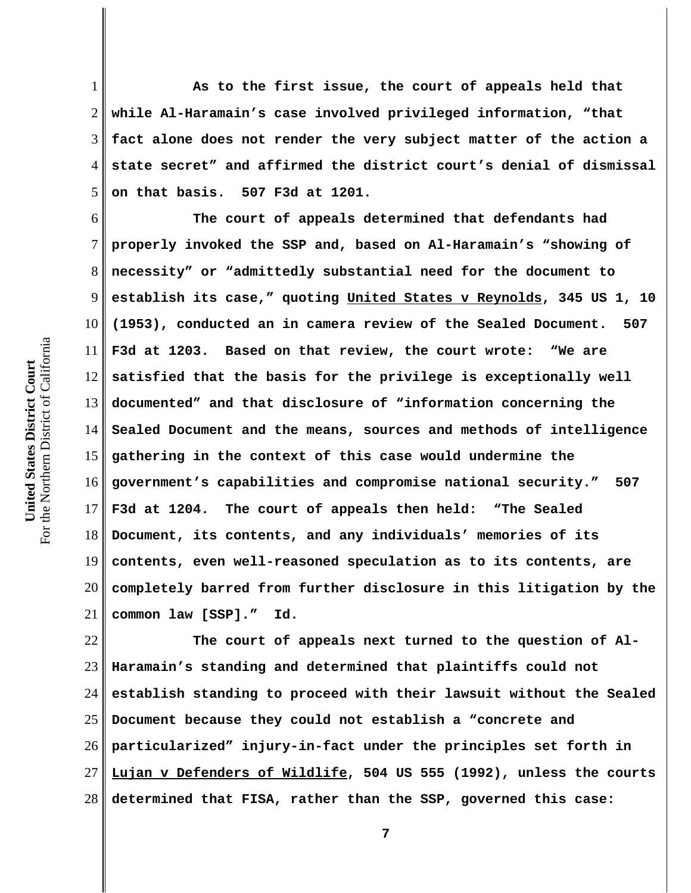1 2 3 4 5 **As to the first issue, the court of appeals held that while Al-Haramain's case involved privileged information, "that fact alone does not render the very subject matter of the action a state secret" and affirmed the district court's denial of dismissal on that basis. 507 F3d at 1201.** 

6 7 8 9 10 11 12 13 14 15 16 17 18 19 20 21 **The court of appeals determined that defendants had properly invoked the SSP and, based on Al-Haramain's "showing of necessity" or "admittedly substantial need for the document to establish its case," quoting United States v Reynolds, 345 US 1, 10 (1953), conducted an in camera review of the Sealed Document. 507 F3d at 1203. Based on that review, the court wrote: "We are satisfied that the basis for the privilege is exceptionally well documented" and that disclosure of "information concerning the Sealed Document and the means, sources and methods of intelligence gathering in the context of this case would undermine the government's capabilities and compromise national security." 507 F3d at 1204. The court of appeals then held: "The Sealed Document, its contents, and any individuals' memories of its contents, even well-reasoned speculation as to its contents, are completely barred from further disclosure in this litigation by the common law [SSP]." Id.** 

22 23 24 25 26 27 28 **The court of appeals next turned to the question of Al-Haramain's standing and determined that plaintiffs could not establish standing to proceed with their lawsuit without the Sealed Document because they could not establish a "concrete and particularized" injury-in-fact under the principles set forth in Lujan v Defenders of Wildlife, 504 US 555 (1992), unless the courts determined that FISA, rather than the SSP, governed this case:**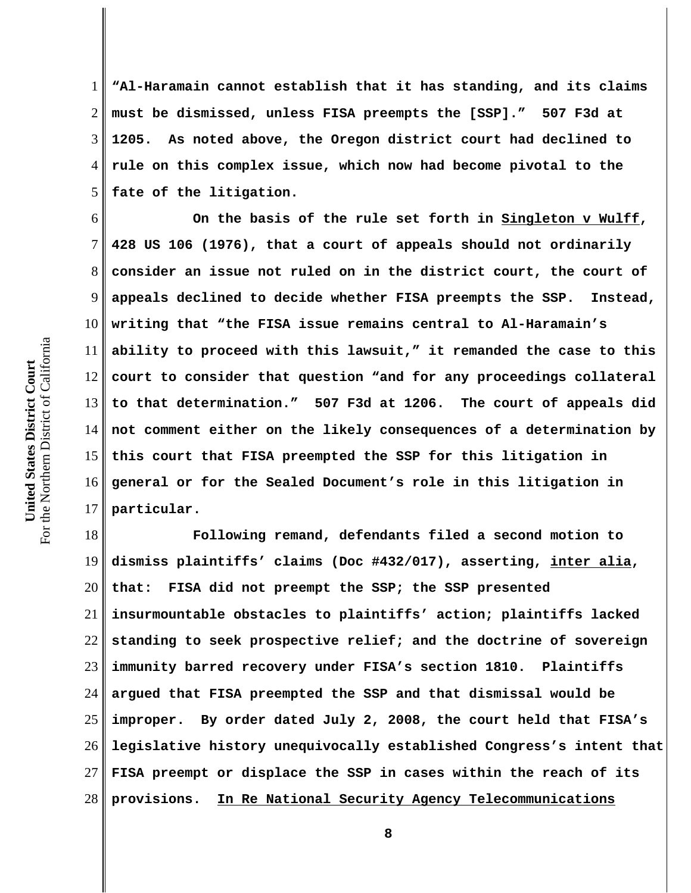1 2 3 4 5 **"Al-Haramain cannot establish that it has standing, and its claims must be dismissed, unless FISA preempts the [SSP]." 507 F3d at 1205. As noted above, the Oregon district court had declined to rule on this complex issue, which now had become pivotal to the fate of the litigation.** 

6 7 8 9 10 11 12 13 14 15 16 17 **On the basis of the rule set forth in Singleton v Wulff, 428 US 106 (1976), that a court of appeals should not ordinarily consider an issue not ruled on in the district court, the court of appeals declined to decide whether FISA preempts the SSP. Instead, writing that "the FISA issue remains central to Al-Haramain's ability to proceed with this lawsuit," it remanded the case to this court to consider that question "and for any proceedings collateral to that determination." 507 F3d at 1206. The court of appeals did not comment either on the likely consequences of a determination by this court that FISA preempted the SSP for this litigation in general or for the Sealed Document's role in this litigation in particular.** 

18 19 20 21 22 23 24 25 26 27 28  **Following remand, defendants filed a second motion to dismiss plaintiffs' claims (Doc #432/017), asserting, inter alia, that: FISA did not preempt the SSP; the SSP presented insurmountable obstacles to plaintiffs' action; plaintiffs lacked standing to seek prospective relief; and the doctrine of sovereign immunity barred recovery under FISA's section 1810. Plaintiffs argued that FISA preempted the SSP and that dismissal would be improper. By order dated July 2, 2008, the court held that FISA's legislative history unequivocally established Congress's intent that FISA preempt or displace the SSP in cases within the reach of its provisions. In Re National Security Agency Telecommunications**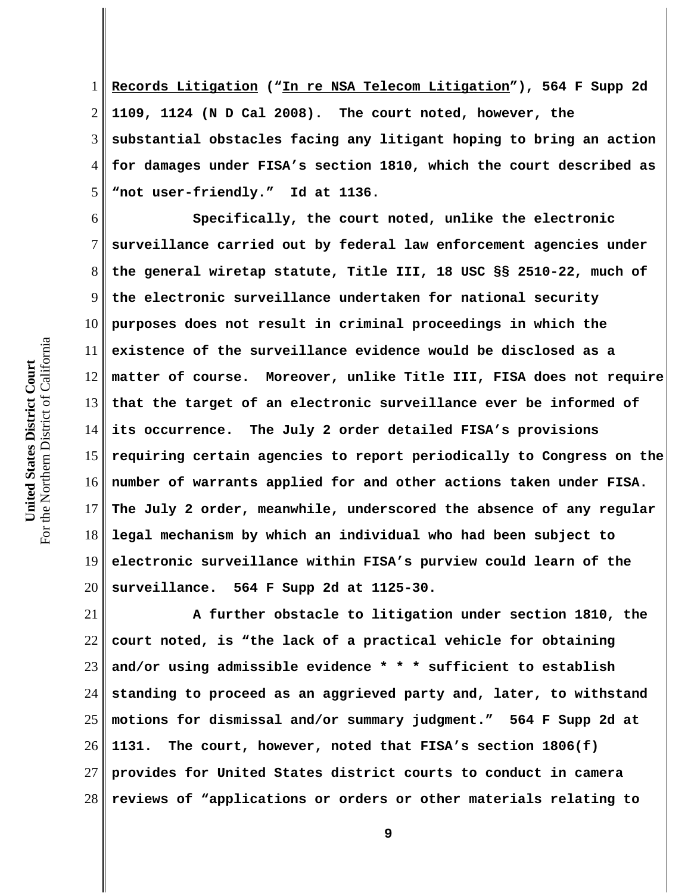1 2 3 4 5 **Records Litigation ("In re NSA Telecom Litigation"), 564 F Supp 2d 1109, 1124 (N D Cal 2008). The court noted, however, the substantial obstacles facing any litigant hoping to bring an action for damages under FISA's section 1810, which the court described as "not user-friendly." Id at 1136.** 

6 7 8 9 10 11 12 13 14 15 16 17 18 19 20 **Specifically, the court noted, unlike the electronic surveillance carried out by federal law enforcement agencies under the general wiretap statute, Title III, 18 USC §§ 2510-22, much of the electronic surveillance undertaken for national security purposes does not result in criminal proceedings in which the existence of the surveillance evidence would be disclosed as a matter of course. Moreover, unlike Title III, FISA does not require that the target of an electronic surveillance ever be informed of its occurrence. The July 2 order detailed FISA's provisions requiring certain agencies to report periodically to Congress on the number of warrants applied for and other actions taken under FISA. The July 2 order, meanwhile, underscored the absence of any regular legal mechanism by which an individual who had been subject to electronic surveillance within FISA's purview could learn of the surveillance. 564 F Supp 2d at 1125-30.**

21 22 23 24 25 26 27 28 **A further obstacle to litigation under section 1810, the court noted, is "the lack of a practical vehicle for obtaining and/or using admissible evidence \* \* \* sufficient to establish standing to proceed as an aggrieved party and, later, to withstand motions for dismissal and/or summary judgment." 564 F Supp 2d at 1131. The court, however, noted that FISA's section 1806(f) provides for United States district courts to conduct in camera reviews of "applications or orders or other materials relating to**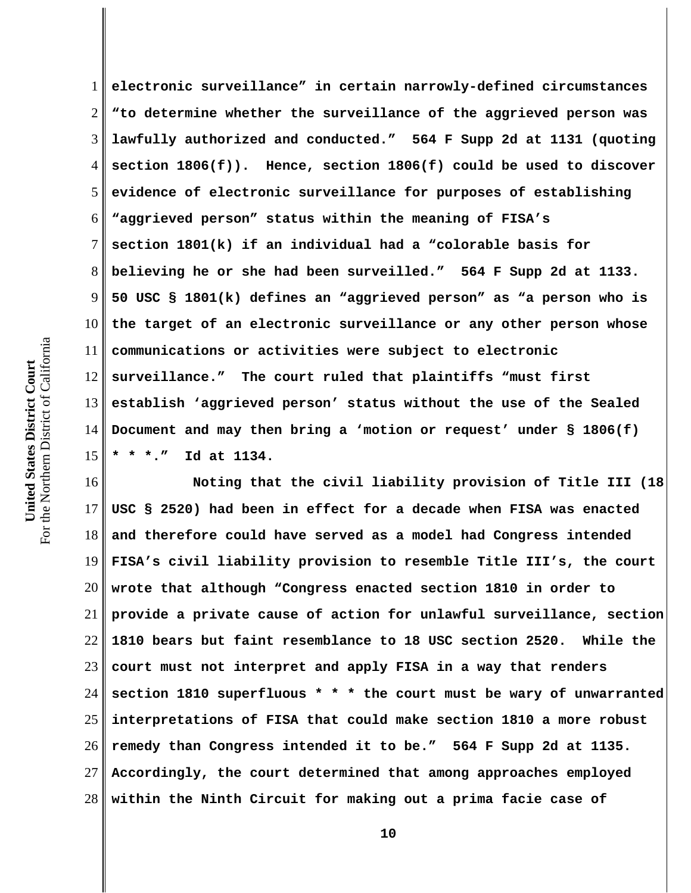1 2 3 4 5 6 7 8 9 10 11 12 13 14 15 **electronic surveillance" in certain narrowly-defined circumstances "to determine whether the surveillance of the aggrieved person was lawfully authorized and conducted." 564 F Supp 2d at 1131 (quoting section 1806(f)). Hence, section 1806(f) could be used to discover evidence of electronic surveillance for purposes of establishing "aggrieved person" status within the meaning of FISA's section 1801(k) if an individual had a "colorable basis for believing he or she had been surveilled." 564 F Supp 2d at 1133. 50 USC § 1801(k) defines an "aggrieved person" as "a person who is the target of an electronic surveillance or any other person whose communications or activities were subject to electronic surveillance." The court ruled that plaintiffs "must first establish 'aggrieved person' status without the use of the Sealed Document and may then bring a 'motion or request' under § 1806(f) \* \* \*." Id at 1134.** 

16 17 18 19 20 21 22 23 24 25 26 27 28 **Noting that the civil liability provision of Title III (18 USC § 2520) had been in effect for a decade when FISA was enacted and therefore could have served as a model had Congress intended FISA's civil liability provision to resemble Title III's, the court wrote that although "Congress enacted section 1810 in order to provide a private cause of action for unlawful surveillance, section 1810 bears but faint resemblance to 18 USC section 2520. While the court must not interpret and apply FISA in a way that renders section 1810 superfluous \* \* \* the court must be wary of unwarranted interpretations of FISA that could make section 1810 a more robust remedy than Congress intended it to be." 564 F Supp 2d at 1135. Accordingly, the court determined that among approaches employed within the Ninth Circuit for making out a prima facie case of**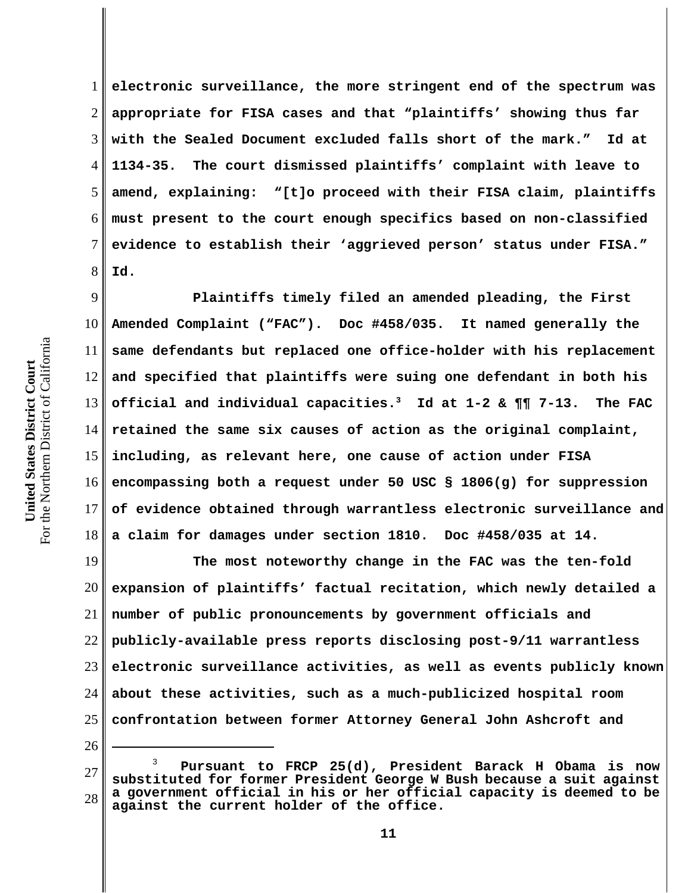1 2 3 4 5 6 7 8 **electronic surveillance, the more stringent end of the spectrum was appropriate for FISA cases and that "plaintiffs' showing thus far with the Sealed Document excluded falls short of the mark." Id at 1134-35. The court dismissed plaintiffs' complaint with leave to amend, explaining: "[t]o proceed with their FISA claim, plaintiffs must present to the court enough specifics based on non-classified evidence to establish their 'aggrieved person' status under FISA." Id.** 

9 10 11 12 13 14 15 16 17 18 **Plaintiffs timely filed an amended pleading, the First Amended Complaint ("FAC"). Doc #458/035. It named generally the same defendants but replaced one office-holder with his replacement and specified that plaintiffs were suing one defendant in both his official and individual capacities.3 Id at 1-2 & ¶¶ 7-13. The FAC retained the same six causes of action as the original complaint, including, as relevant here, one cause of action under FISA encompassing both a request under 50 USC § 1806(g) for suppression of evidence obtained through warrantless electronic surveillance and a claim for damages under section 1810. Doc #458/035 at 14.**

19 20 21 22 23 24 25 **The most noteworthy change in the FAC was the ten-fold expansion of plaintiffs' factual recitation, which newly detailed a number of public pronouncements by government officials and publicly-available press reports disclosing post-9/11 warrantless electronic surveillance activities, as well as events publicly known about these activities, such as a much-publicized hospital room confrontation between former Attorney General John Ashcroft and**

<sup>27</sup> 28 3  **Pursuant to FRCP 25(d), President Barack H Obama is now substituted for former President George W Bush because a suit against a government official in his or her official capacity is deemed to be against the current holder of the office.**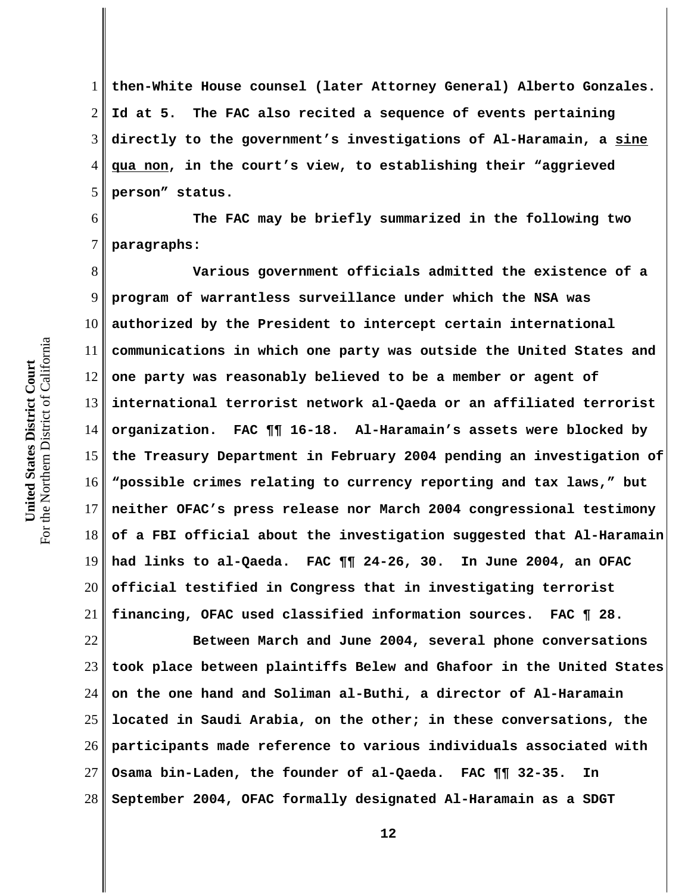1 2 3 4 5 **then-White House counsel (later Attorney General) Alberto Gonzales. Id at 5. The FAC also recited a sequence of events pertaining directly to the government's investigations of Al-Haramain, a sine qua non, in the court's view, to establishing their "aggrieved person" status.** 

6 7 **The FAC may be briefly summarized in the following two paragraphs:**

8 9 10 11 12 13 14 15 16 17 18 19 20 21 **Various government officials admitted the existence of a program of warrantless surveillance under which the NSA was authorized by the President to intercept certain international communications in which one party was outside the United States and one party was reasonably believed to be a member or agent of international terrorist network al-Qaeda or an affiliated terrorist organization. FAC ¶¶ 16-18. Al-Haramain's assets were blocked by the Treasury Department in February 2004 pending an investigation of "possible crimes relating to currency reporting and tax laws," but neither OFAC's press release nor March 2004 congressional testimony of a FBI official about the investigation suggested that Al-Haramain had links to al-Qaeda. FAC ¶¶ 24-26, 30. In June 2004, an OFAC official testified in Congress that in investigating terrorist financing, OFAC used classified information sources. FAC ¶ 28.** 

22 23 24 25 26 27 28 **Between March and June 2004, several phone conversations took place between plaintiffs Belew and Ghafoor in the United States on the one hand and Soliman al-Buthi, a director of Al-Haramain located in Saudi Arabia, on the other; in these conversations, the participants made reference to various individuals associated with Osama bin-Laden, the founder of al-Qaeda. FAC ¶¶ 32-35. In September 2004, OFAC formally designated Al-Haramain as a SDGT**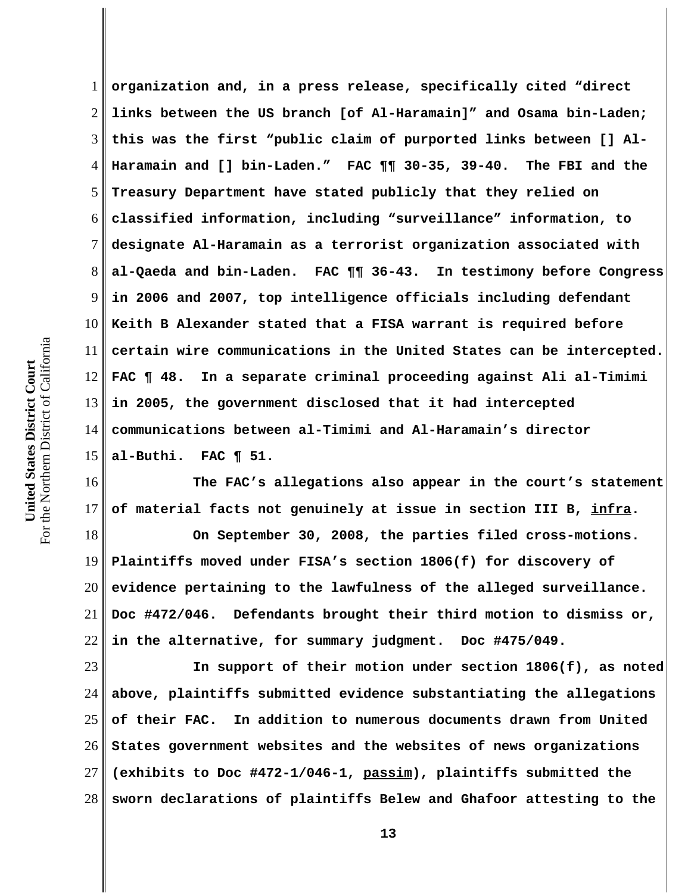1 2 3 4 5 6 7 8 9 10 11 12 13 14 15 **organization and, in a press release, specifically cited "direct links between the US branch [of Al-Haramain]" and Osama bin-Laden; this was the first "public claim of purported links between [] Al-Haramain and [] bin-Laden." FAC ¶¶ 30-35, 39-40. The FBI and the Treasury Department have stated publicly that they relied on classified information, including "surveillance" information, to designate Al-Haramain as a terrorist organization associated with al-Qaeda and bin-Laden. FAC ¶¶ 36-43. In testimony before Congress in 2006 and 2007, top intelligence officials including defendant Keith B Alexander stated that a FISA warrant is required before certain wire communications in the United States can be intercepted. FAC ¶ 48. In a separate criminal proceeding against Ali al-Timimi in 2005, the government disclosed that it had intercepted communications between al-Timimi and Al-Haramain's director al-Buthi. FAC ¶ 51.**

16 17 **The FAC's allegations also appear in the court's statement of material facts not genuinely at issue in section III B, infra.** 

18 19 20 21 22 **On September 30, 2008, the parties filed cross-motions. Plaintiffs moved under FISA's section 1806(f) for discovery of evidence pertaining to the lawfulness of the alleged surveillance. Doc #472/046. Defendants brought their third motion to dismiss or, in the alternative, for summary judgment. Doc #475/049.** 

23 24 25 26 27 28 **In support of their motion under section 1806(f), as noted above, plaintiffs submitted evidence substantiating the allegations of their FAC. In addition to numerous documents drawn from United States government websites and the websites of news organizations (exhibits to Doc #472-1/046-1, passim), plaintiffs submitted the sworn declarations of plaintiffs Belew and Ghafoor attesting to the**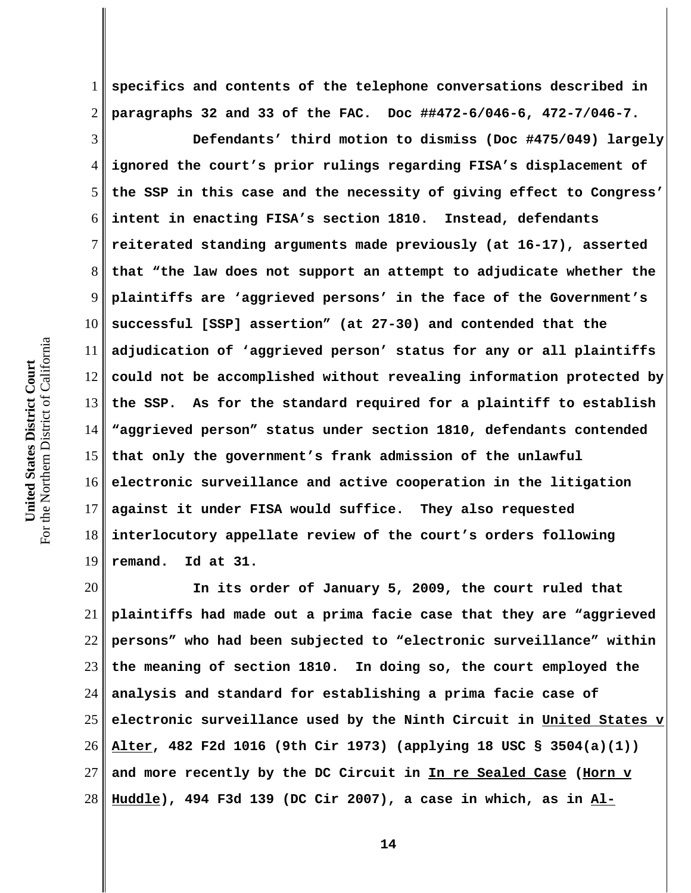1 2 **specifics and contents of the telephone conversations described in paragraphs 32 and 33 of the FAC. Doc ##472-6/046-6, 472-7/046-7.** 

3 4 5 6 7 8 9 10 11 12 13 14 15 16 17 18 19 **Defendants' third motion to dismiss (Doc #475/049) largely ignored the court's prior rulings regarding FISA's displacement of the SSP in this case and the necessity of giving effect to Congress' intent in enacting FISA's section 1810. Instead, defendants reiterated standing arguments made previously (at 16-17), asserted that "the law does not support an attempt to adjudicate whether the plaintiffs are 'aggrieved persons' in the face of the Government's successful [SSP] assertion" (at 27-30) and contended that the adjudication of 'aggrieved person' status for any or all plaintiffs could not be accomplished without revealing information protected by the SSP. As for the standard required for a plaintiff to establish "aggrieved person" status under section 1810, defendants contended that only the government's frank admission of the unlawful electronic surveillance and active cooperation in the litigation against it under FISA would suffice. They also requested interlocutory appellate review of the court's orders following remand. Id at 31.** 

20 21 22 23 24 25 26 27 28 **In its order of January 5, 2009, the court ruled that plaintiffs had made out a prima facie case that they are "aggrieved persons" who had been subjected to "electronic surveillance" within the meaning of section 1810. In doing so, the court employed the analysis and standard for establishing a prima facie case of electronic surveillance used by the Ninth Circuit in United States v Alter, 482 F2d 1016 (9th Cir 1973) (applying 18 USC § 3504(a)(1)) and more recently by the DC Circuit in In re Sealed Case (Horn v Huddle), 494 F3d 139 (DC Cir 2007), a case in which, as in Al-**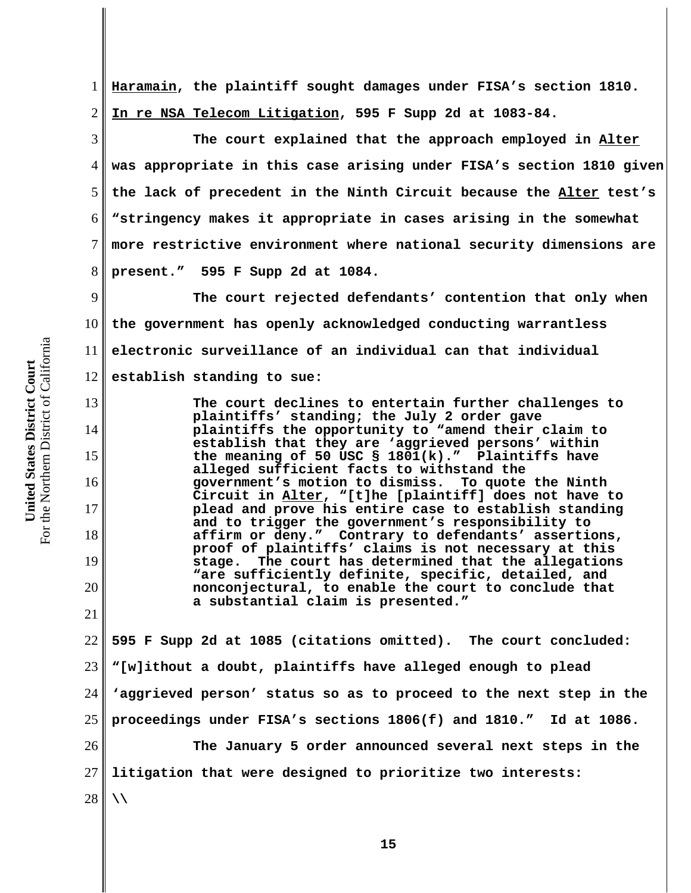1 2 **Haramain, the plaintiff sought damages under FISA's section 1810. In re NSA Telecom Litigation, 595 F Supp 2d at 1083-84.** 

3 4 5 6 7 8 **The court explained that the approach employed in Alter was appropriate in this case arising under FISA's section 1810 given the lack of precedent in the Ninth Circuit because the Alter test's "stringency makes it appropriate in cases arising in the somewhat more restrictive environment where national security dimensions are present." 595 F Supp 2d at 1084.** 

9 10 11 12 **The court rejected defendants' contention that only when the government has openly acknowledged conducting warrantless electronic surveillance of an individual can that individual establish standing to sue:**

**The court declines to entertain further challenges to plaintiffs' standing; the July 2 order gave plaintiffs the opportunity to "amend their claim to establish that they are 'aggrieved persons' within the meaning of 50 USC § 1801(k)." Plaintiffs have alleged sufficient facts to withstand the government's motion to dismiss. To quote the Ninth Circuit in Alter, "[t]he [plaintiff] does not have to plead and prove his entire case to establish standing and to trigger the government's responsibility to affirm or deny." Contrary to defendants' assertions, proof of plaintiffs' claims is not necessary at this stage. The court has determined that the allegations "are sufficiently definite, specific, detailed, and nonconjectural, to enable the court to conclude that a substantial claim is presented."**

22 23 24 25 26 27 28 **595 F Supp 2d at 1085 (citations omitted). The court concluded: "[w]ithout a doubt, plaintiffs have alleged enough to plead 'aggrieved person' status so as to proceed to the next step in the proceedings under FISA's sections 1806(f) and 1810." Id at 1086. The January 5 order announced several next steps in the litigation that were designed to prioritize two interests: \\**

13

14

15

16

17

18

19

20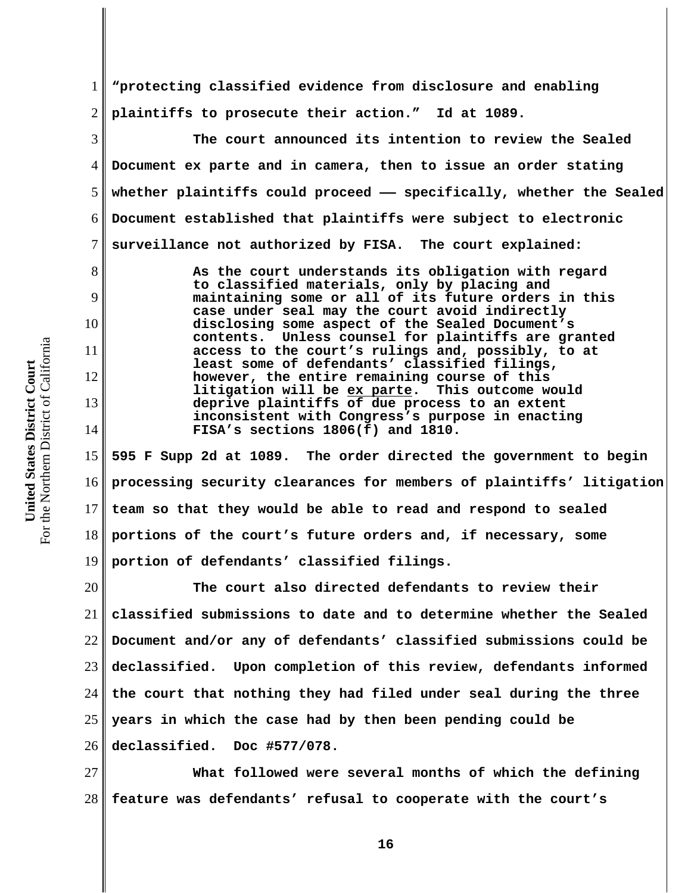1 2 **"protecting classified evidence from disclosure and enabling plaintiffs to prosecute their action." Id at 1089.** 

6 **The court announced its intention to review the Sealed Document ex parte and in camera, then to issue an order stating whether plaintiffs could proceed —— specifically, whether the Sealed Document established that plaintiffs were subject to electronic surveillance not authorized by FISA. The court explained:** 

> **As the court understands its obligation with regard to classified materials, only by placing and maintaining some or all of its future orders in this case under seal may the court avoid indirectly disclosing some aspect of the Sealed Document's contents. Unless counsel for plaintiffs are granted access to the court's rulings and, possibly, to at least some of defendants' classified filings, however, the entire remaining course of this litigation will be ex parte. This outcome would deprive plaintiffs of due process to an extent inconsistent with Congress's purpose in enacting FISA's sections 1806(f) and 1810.**

15 16 17 18 19  **595 F Supp 2d at 1089. The order directed the government to begin processing security clearances for members of plaintiffs' litigation team so that they would be able to read and respond to sealed portions of the court's future orders and, if necessary, some portion of defendants' classified filings.** 

20 21 22 23 24 25 26 **The court also directed defendants to review their classified submissions to date and to determine whether the Sealed Document and/or any of defendants' classified submissions could be declassified. Upon completion of this review, defendants informed the court that nothing they had filed under seal during the three years in which the case had by then been pending could be declassified. Doc #577/078.**

27 28 **What followed were several months of which the defining feature was defendants' refusal to cooperate with the court's**

3

4

5

7

8

9

10

11

12

13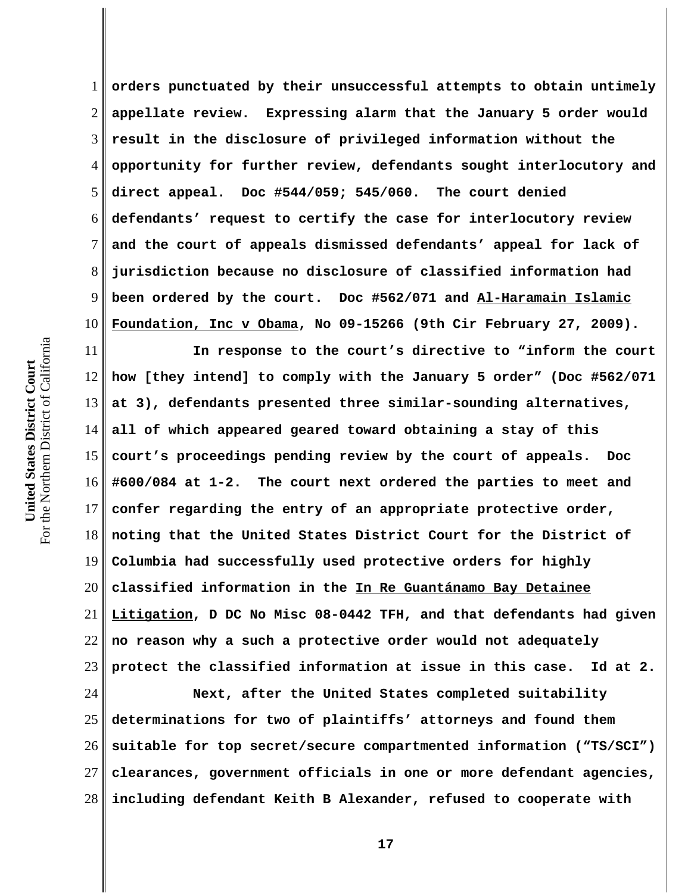1 2 3 4 5 6 7 8 9 10 **orders punctuated by their unsuccessful attempts to obtain untimely appellate review. Expressing alarm that the January 5 order would result in the disclosure of privileged information without the opportunity for further review, defendants sought interlocutory and direct appeal. Doc #544/059; 545/060. The court denied defendants' request to certify the case for interlocutory review and the court of appeals dismissed defendants' appeal for lack of jurisdiction because no disclosure of classified information had been ordered by the court. Doc #562/071 and Al-Haramain Islamic Foundation, Inc v Obama, No 09-15266 (9th Cir February 27, 2009).** 

11 12 13 14 15 16 17 18 19 20 21 22 23 **In response to the court's directive to "inform the court how [they intend] to comply with the January 5 order" (Doc #562/071 at 3), defendants presented three similar-sounding alternatives, all of which appeared geared toward obtaining a stay of this court's proceedings pending review by the court of appeals. Doc #600/084 at 1-2. The court next ordered the parties to meet and confer regarding the entry of an appropriate protective order, noting that the United States District Court for the District of Columbia had successfully used protective orders for highly classified information in the In Re Guantánamo Bay Detainee Litigation, D DC No Misc 08-0442 TFH, and that defendants had given no reason why a such a protective order would not adequately protect the classified information at issue in this case. Id at 2.**

24 25 26 27 28 **Next, after the United States completed suitability determinations for two of plaintiffs' attorneys and found them suitable for top secret/secure compartmented information ("TS/SCI") clearances, government officials in one or more defendant agencies, including defendant Keith B Alexander, refused to cooperate with**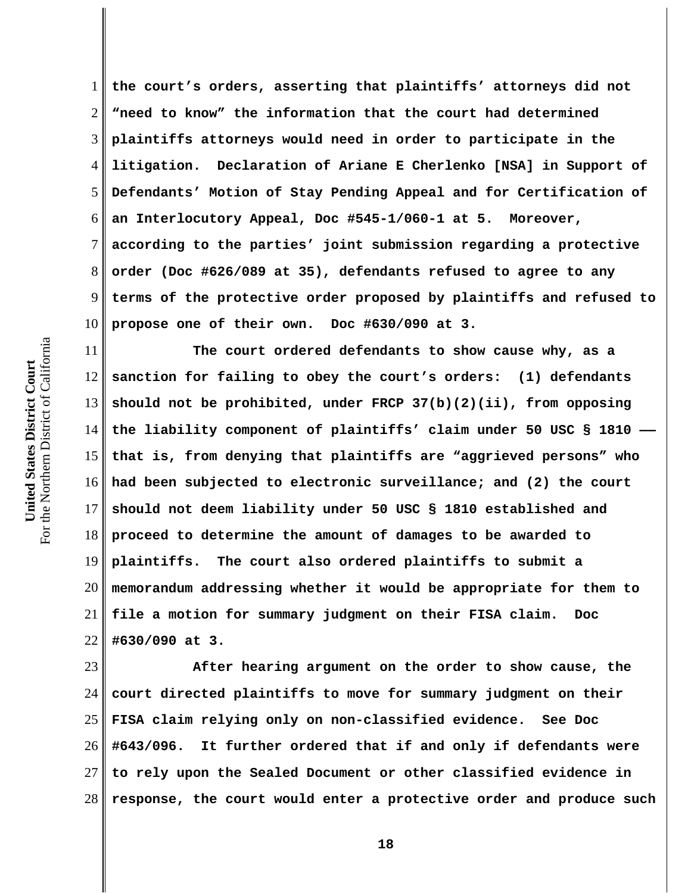1 2 3 4 5 6 7 8 9 10 **the court's orders, asserting that plaintiffs' attorneys did not "need to know" the information that the court had determined plaintiffs attorneys would need in order to participate in the litigation. Declaration of Ariane E Cherlenko [NSA] in Support of Defendants' Motion of Stay Pending Appeal and for Certification of an Interlocutory Appeal, Doc #545-1/060-1 at 5. Moreover, according to the parties' joint submission regarding a protective order (Doc #626/089 at 35), defendants refused to agree to any terms of the protective order proposed by plaintiffs and refused to propose one of their own. Doc #630/090 at 3.** 

11 12 13 14 15 16 17 18 19 20 21 22 **The court ordered defendants to show cause why, as a sanction for failing to obey the court's orders: (1) defendants should not be prohibited, under FRCP 37(b)(2)(ii), from opposing** the liability component of plaintiffs' claim under 50 USC § 1810  $\cdot$ **that is, from denying that plaintiffs are "aggrieved persons" who had been subjected to electronic surveillance; and (2) the court should not deem liability under 50 USC § 1810 established and proceed to determine the amount of damages to be awarded to plaintiffs. The court also ordered plaintiffs to submit a memorandum addressing whether it would be appropriate for them to file a motion for summary judgment on their FISA claim. Doc #630/090 at 3.** 

23 24 25 26 27 28 **After hearing argument on the order to show cause, the court directed plaintiffs to move for summary judgment on their FISA claim relying only on non-classified evidence. See Doc #643/096. It further ordered that if and only if defendants were to rely upon the Sealed Document or other classified evidence in response, the court would enter a protective order and produce such**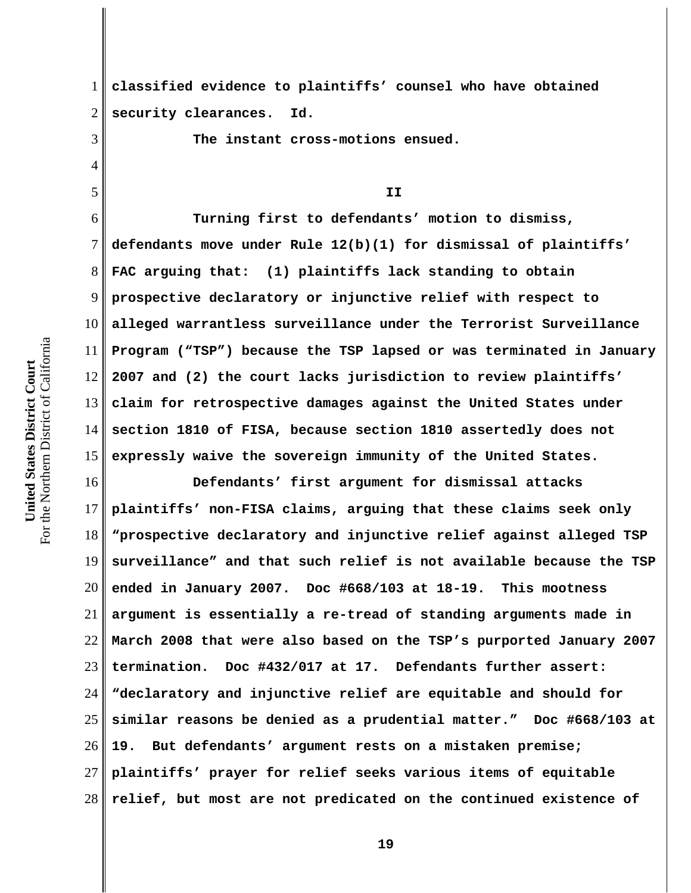3

4

5

1 2 **classified evidence to plaintiffs' counsel who have obtained security clearances. Id.** 

**The instant cross-motions ensued.**

## **II**

6 7 8 9 10 11 12 13 14 15 **Turning first to defendants' motion to dismiss, defendants move under Rule 12(b)(1) for dismissal of plaintiffs' FAC arguing that: (1) plaintiffs lack standing to obtain prospective declaratory or injunctive relief with respect to alleged warrantless surveillance under the Terrorist Surveillance Program ("TSP") because the TSP lapsed or was terminated in January 2007 and (2) the court lacks jurisdiction to review plaintiffs' claim for retrospective damages against the United States under section 1810 of FISA, because section 1810 assertedly does not expressly waive the sovereign immunity of the United States.** 

16 17 18 19 20 21 22 23 24 25 26 27 28 **Defendants' first argument for dismissal attacks plaintiffs' non-FISA claims, arguing that these claims seek only "prospective declaratory and injunctive relief against alleged TSP surveillance" and that such relief is not available because the TSP ended in January 2007. Doc #668/103 at 18-19. This mootness argument is essentially a re-tread of standing arguments made in March 2008 that were also based on the TSP's purported January 2007 termination. Doc #432/017 at 17. Defendants further assert: "declaratory and injunctive relief are equitable and should for similar reasons be denied as a prudential matter." Doc #668/103 at 19. But defendants' argument rests on a mistaken premise; plaintiffs' prayer for relief seeks various items of equitable relief, but most are not predicated on the continued existence of**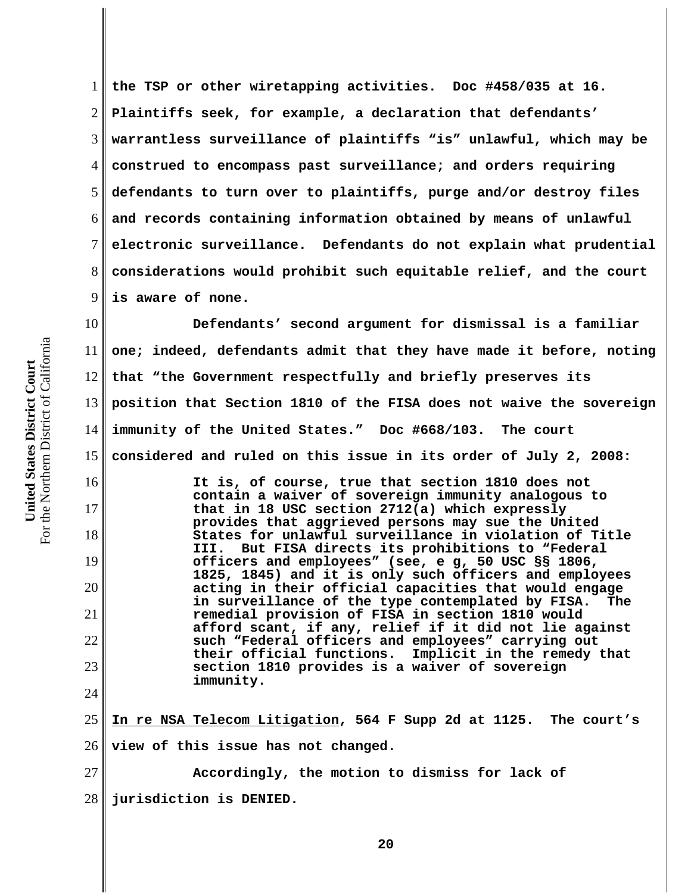1 2 3 4 5 6 7 8 9 **the TSP or other wiretapping activities. Doc #458/035 at 16. Plaintiffs seek, for example, a declaration that defendants' warrantless surveillance of plaintiffs "is" unlawful, which may be construed to encompass past surveillance; and orders requiring defendants to turn over to plaintiffs, purge and/or destroy files and records containing information obtained by means of unlawful electronic surveillance. Defendants do not explain what prudential considerations would prohibit such equitable relief, and the court is aware of none.**

10 11 12 13 14 15 **Defendants' second argument for dismissal is a familiar one; indeed, defendants admit that they have made it before, noting that "the Government respectfully and briefly preserves its position that Section 1810 of the FISA does not waive the sovereign immunity of the United States." Doc #668/103. The court considered and ruled on this issue in its order of July 2, 2008:**

> **It is, of course, true that section 1810 does not contain a waiver of sovereign immunity analogous to that in 18 USC section 2712(a) which expressly provides that aggrieved persons may sue the United States for unlawful surveillance in violation of Title III. But FISA directs its prohibitions to "Federal officers and employees" (see, e g, 50 USC §§ 1806, 1825, 1845) and it is only such officers and employees acting in their official capacities that would engage in surveillance of the type contemplated by FISA. The remedial provision of FISA in section 1810 would afford scant, if any, relief if it did not lie against such "Federal officers and employees" carrying out their official functions. Implicit in the remedy that section 1810 provides is a waiver of sovereign immunity.**

25 26 27 **In re NSA Telecom Litigation, 564 F Supp 2d at 1125. The court's view of this issue has not changed. Accordingly, the motion to dismiss for lack of**

28 **jurisdiction is DENIED.** 

For the Northern District of California For the Northern District of California United States District Court **United States District Court**

16

17

18

19

20

21

22

23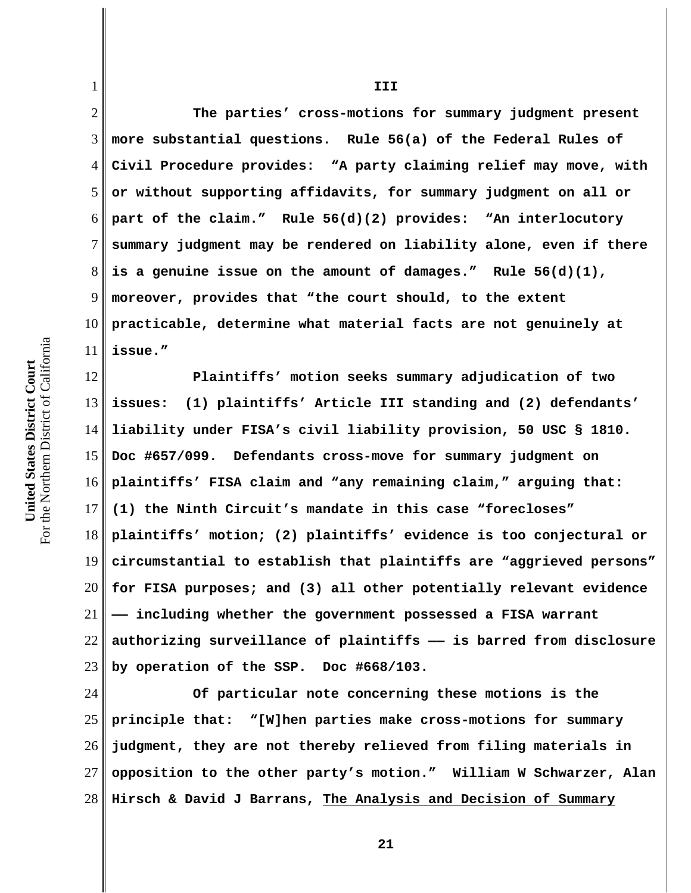For the Northern District of California For the Northern District of California United States District Court **United States District Court**

1

2 3 4 5 6 7 8 9 10 11 **The parties' cross-motions for summary judgment present more substantial questions. Rule 56(a) of the Federal Rules of Civil Procedure provides: "A party claiming relief may move, with or without supporting affidavits, for summary judgment on all or part of the claim." Rule 56(d)(2) provides: "An interlocutory summary judgment may be rendered on liability alone, even if there is a genuine issue on the amount of damages." Rule 56(d)(1), moreover, provides that "the court should, to the extent practicable, determine what material facts are not genuinely at issue."** 

12 13 14 15 16 17 18 19 20 21 22 23 **Plaintiffs' motion seeks summary adjudication of two issues: (1) plaintiffs' Article III standing and (2) defendants' liability under FISA's civil liability provision, 50 USC § 1810. Doc #657/099. Defendants cross-move for summary judgment on plaintiffs' FISA claim and "any remaining claim," arguing that: (1) the Ninth Circuit's mandate in this case "forecloses" plaintiffs' motion; (2) plaintiffs' evidence is too conjectural or circumstantial to establish that plaintiffs are "aggrieved persons" for FISA purposes; and (3) all other potentially relevant evidence —— including whether the government possessed a FISA warrant authorizing surveillance of plaintiffs —— is barred from disclosure by operation of the SSP. Doc #668/103.** 

24 25 26 27 28 **Of particular note concerning these motions is the principle that: "[W]hen parties make cross-motions for summary judgment, they are not thereby relieved from filing materials in opposition to the other party's motion." William W Schwarzer, Alan Hirsch & David J Barrans, The Analysis and Decision of Summary**

**III**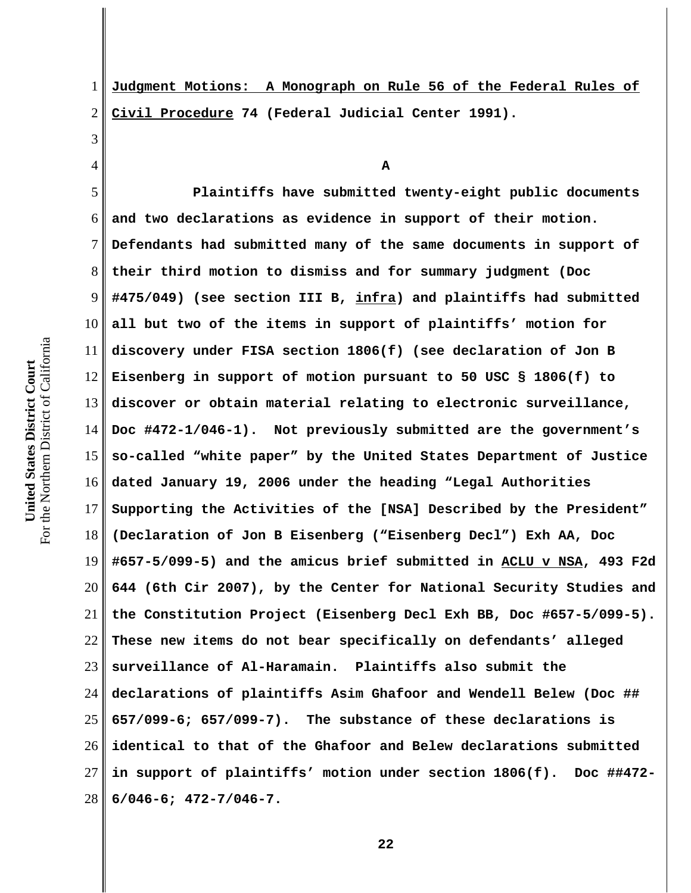For the Northern District of California For the Northern District of California United States District Court **United States District Court**

1

2 3 4 5 6 7 8 9 10 11 12 13 14 15 16 17 18 19 20 21 22 23 24 25 26 27 28 **Civil Procedure 74 (Federal Judicial Center 1991). A Plaintiffs have submitted twenty-eight public documents and two declarations as evidence in support of their motion. Defendants had submitted many of the same documents in support of their third motion to dismiss and for summary judgment (Doc #475/049) (see section III B, infra) and plaintiffs had submitted all but two of the items in support of plaintiffs' motion for discovery under FISA section 1806(f) (see declaration of Jon B Eisenberg in support of motion pursuant to 50 USC § 1806(f) to discover or obtain material relating to electronic surveillance, Doc #472-1/046-1). Not previously submitted are the government's so-called "white paper" by the United States Department of Justice dated January 19, 2006 under the heading "Legal Authorities Supporting the Activities of the [NSA] Described by the President" (Declaration of Jon B Eisenberg ("Eisenberg Decl") Exh AA, Doc #657-5/099-5) and the amicus brief submitted in ACLU v NSA, 493 F2d 644 (6th Cir 2007), by the Center for National Security Studies and the Constitution Project (Eisenberg Decl Exh BB, Doc #657-5/099-5). These new items do not bear specifically on defendants' alleged surveillance of Al-Haramain. Plaintiffs also submit the declarations of plaintiffs Asim Ghafoor and Wendell Belew (Doc ## 657/099-6; 657/099-7). The substance of these declarations is identical to that of the Ghafoor and Belew declarations submitted in support of plaintiffs' motion under section 1806(f). Doc ##472- 6/046-6; 472-7/046-7.** 

**Judgment Motions: A Monograph on Rule 56 of the Federal Rules of**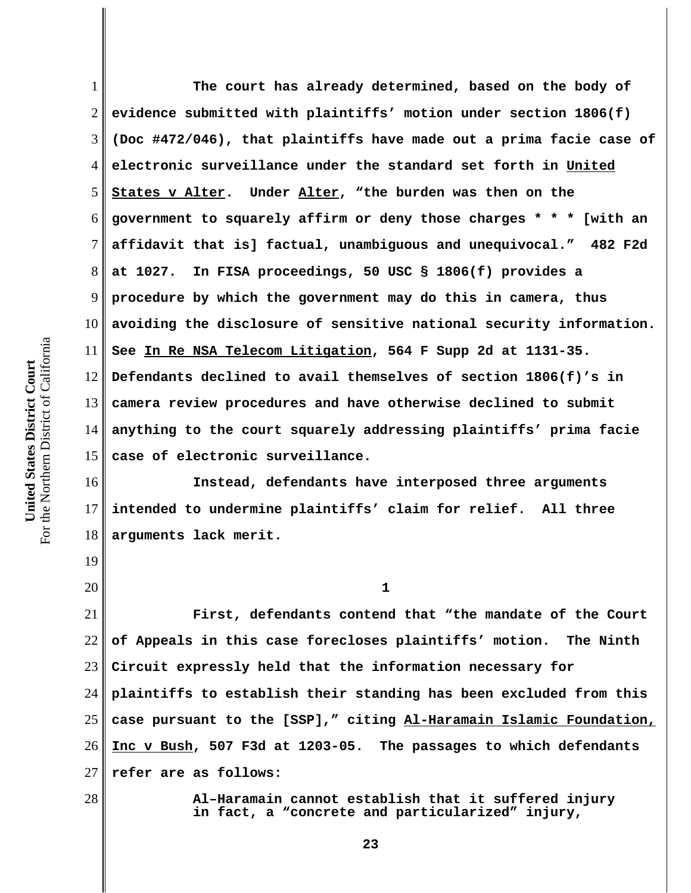1 2 3 4 5 6 7 8 9 10 11 12 13 14 15 16 **The court has already determined, based on the body of evidence submitted with plaintiffs' motion under section 1806(f) (Doc #472/046), that plaintiffs have made out a prima facie case of electronic surveillance under the standard set forth in United States v Alter. Under Alter, "the burden was then on the government to squarely affirm or deny those charges \* \* \* [with an affidavit that is] factual, unambiguous and unequivocal." 482 F2d at 1027. In FISA proceedings, 50 USC § 1806(f) provides a procedure by which the government may do this in camera, thus avoiding the disclosure of sensitive national security information. See In Re NSA Telecom Litigation, 564 F Supp 2d at 1131-35. Defendants declined to avail themselves of section 1806(f)'s in camera review procedures and have otherwise declined to submit anything to the court squarely addressing plaintiffs' prima facie case of electronic surveillance. Instead, defendants have interposed three arguments**

17 18 **intended to undermine plaintiffs' claim for relief. All three arguments lack merit.** 

19 20

28

21 22 23 24 25 26 27 **First, defendants contend that "the mandate of the Court of Appeals in this case forecloses plaintiffs' motion. The Ninth Circuit expressly held that the information necessary for plaintiffs to establish their standing has been excluded from this case pursuant to the [SSP]," citing Al-Haramain Islamic Foundation, Inc v Bush, 507 F3d at 1203-05. The passages to which defendants refer are as follows:**

**1**

**Al–Haramain cannot establish that it suffered injury in fact, a "concrete and particularized" injury,**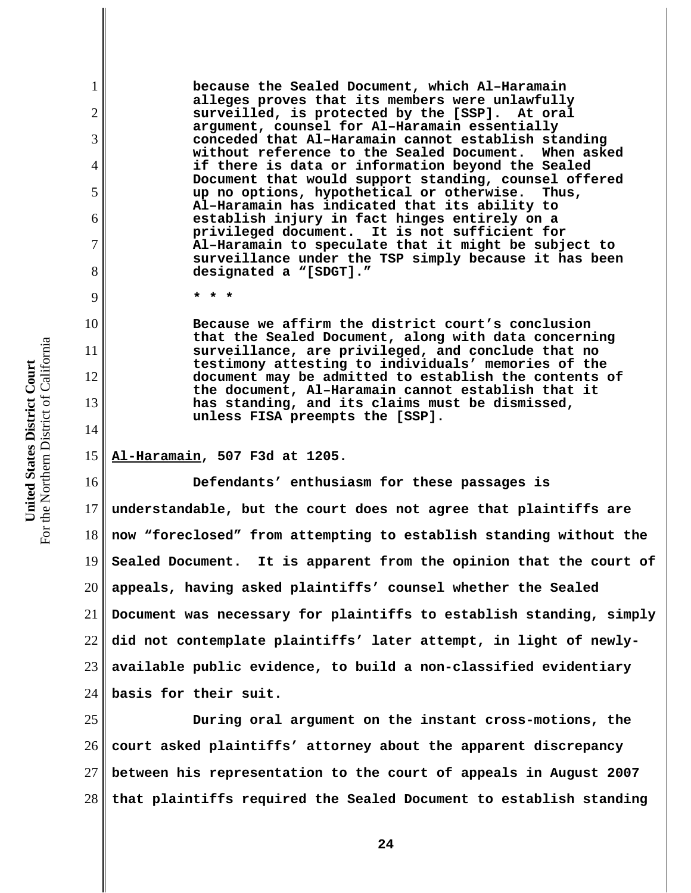**because the Sealed Document, which Al–Haramain alleges proves that its members were unlawfully surveilled, is protected by the [SSP]. At oral argument, counsel for Al–Haramain essentially conceded that Al–Haramain cannot establish standing without reference to the Sealed Document. When asked if there is data or information beyond the Sealed Document that would support standing, counsel offered up no options, hypothetical or otherwise. Thus, Al–Haramain has indicated that its ability to establish injury in fact hinges entirely on a privileged document. It is not sufficient for Al–Haramain to speculate that it might be subject to surveillance under the TSP simply because it has been designated a "[SDGT]."**

**\* \* \***

**Because we affirm the district court's conclusion that the Sealed Document, along with data concerning surveillance, are privileged, and conclude that no testimony attesting to individuals' memories of the document may be admitted to establish the contents of the document, Al–Haramain cannot establish that it has standing, and its claims must be dismissed, unless FISA preempts the [SSP].**

15 **Al-Haramain, 507 F3d at 1205.** 

16 17 18 19 20 21 22 23 24 **Defendants' enthusiasm for these passages is understandable, but the court does not agree that plaintiffs are now "foreclosed" from attempting to establish standing without the Sealed Document. It is apparent from the opinion that the court of appeals, having asked plaintiffs' counsel whether the Sealed Document was necessary for plaintiffs to establish standing, simply did not contemplate plaintiffs' later attempt, in light of newlyavailable public evidence, to build a non-classified evidentiary basis for their suit.** 

25 26 27 28 **During oral argument on the instant cross-motions, the court asked plaintiffs' attorney about the apparent discrepancy between his representation to the court of appeals in August 2007 that plaintiffs required the Sealed Document to establish standing**

1

2

3

4

5

6

7

8

9

10

11

12

13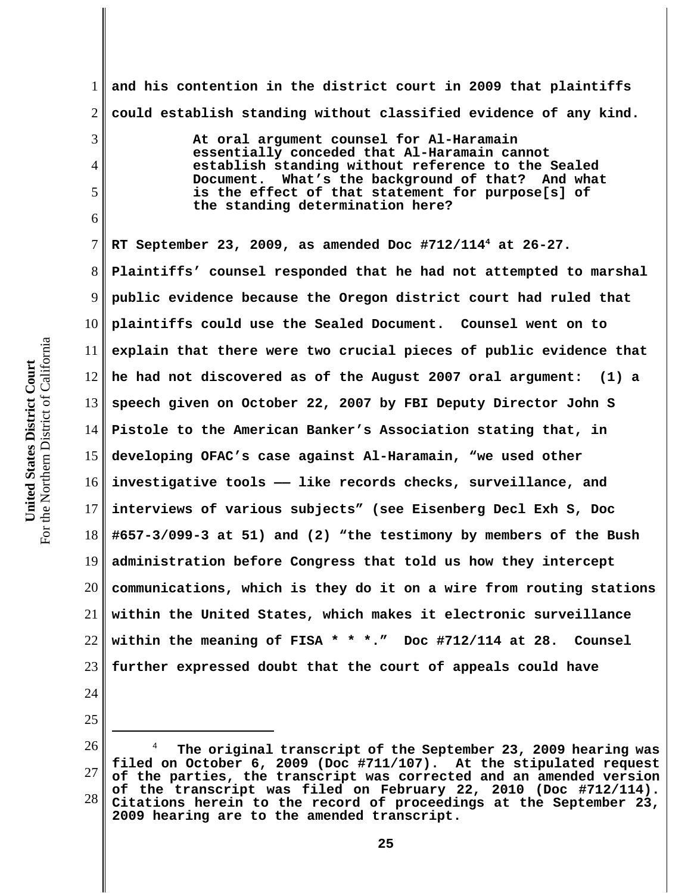the Northern District of California For the Northern District of California United States District Court **United States District Court** For<sup>-</sup>

3

4

5

6

24

25

1 2 **and his contention in the district court in 2009 that plaintiffs could establish standing without classified evidence of any kind.** 

> **At oral argument counsel for Al-Haramain essentially conceded that Al-Haramain cannot establish standing without reference to the Sealed Document. What's the background of that? And what is the effect of that statement for purpose[s] of the standing determination here?**

7 8 9 10 11 12 13 14 15 16 17 18 19 20 21 22 23 **RT September 23, 2009, as amended Doc #712/1144 at 26-27. Plaintiffs' counsel responded that he had not attempted to marshal public evidence because the Oregon district court had ruled that plaintiffs could use the Sealed Document. Counsel went on to explain that there were two crucial pieces of public evidence that he had not discovered as of the August 2007 oral argument: (1) a speech given on October 22, 2007 by FBI Deputy Director John S Pistole to the American Banker's Association stating that, in developing OFAC's case against Al-Haramain, "we used other investigative tools —— like records checks, surveillance, and interviews of various subjects" (see Eisenberg Decl Exh S, Doc #657-3/099-3 at 51) and (2) "the testimony by members of the Bush administration before Congress that told us how they intercept communications, which is they do it on a wire from routing stations within the United States, which makes it electronic surveillance within the meaning of FISA \* \* \*." Doc #712/114 at 28. Counsel further expressed doubt that the court of appeals could have**

26 27 28 4  **The original transcript of the September 23, 2009 hearing was filed on October 6, 2009 (Doc #711/107). At the stipulated request of the parties, the transcript was corrected and an amended version of the transcript was filed on February 22, 2010 (Doc #712/114). Citations herein to the record of proceedings at the September 23, 2009 hearing are to the amended transcript.**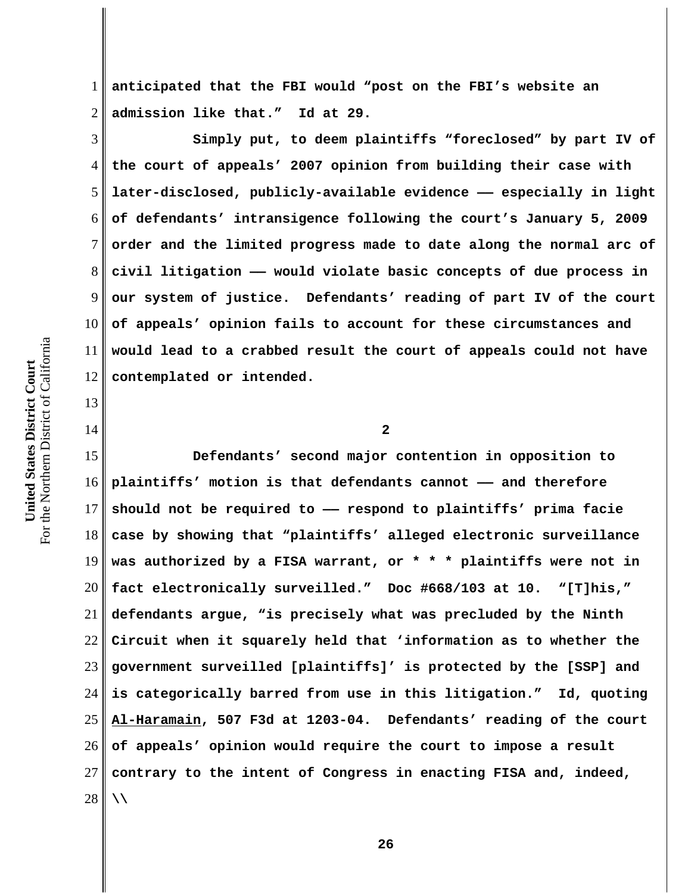1 2 **anticipated that the FBI would "post on the FBI's website an admission like that." Id at 29.** 

3 4 5 6 7 8 9 10 11 12 **Simply put, to deem plaintiffs "foreclosed" by part IV of the court of appeals' 2007 opinion from building their case with later-disclosed, publicly-available evidence —— especially in light of defendants' intransigence following the court's January 5, 2009 order and the limited progress made to date along the normal arc of civil litigation —— would violate basic concepts of due process in our system of justice. Defendants' reading of part IV of the court of appeals' opinion fails to account for these circumstances and would lead to a crabbed result the court of appeals could not have contemplated or intended.**

For the Northern District of California For the Northern District of California United States District Court **United States District Court**

13

14

**2**

15 16 17 18 19 20 21 22 23 24 25 26 27 28 **Defendants' second major contention in opposition to plaintiffs' motion is that defendants cannot —— and therefore should not be required to —— respond to plaintiffs' prima facie case by showing that "plaintiffs' alleged electronic surveillance was authorized by a FISA warrant, or \* \* \* plaintiffs were not in fact electronically surveilled." Doc #668/103 at 10. "[T]his," defendants argue, "is precisely what was precluded by the Ninth Circuit when it squarely held that 'information as to whether the government surveilled [plaintiffs]' is protected by the [SSP] and is categorically barred from use in this litigation." Id, quoting Al-Haramain, 507 F3d at 1203-04. Defendants' reading of the court of appeals' opinion would require the court to impose a result contrary to the intent of Congress in enacting FISA and, indeed, \\**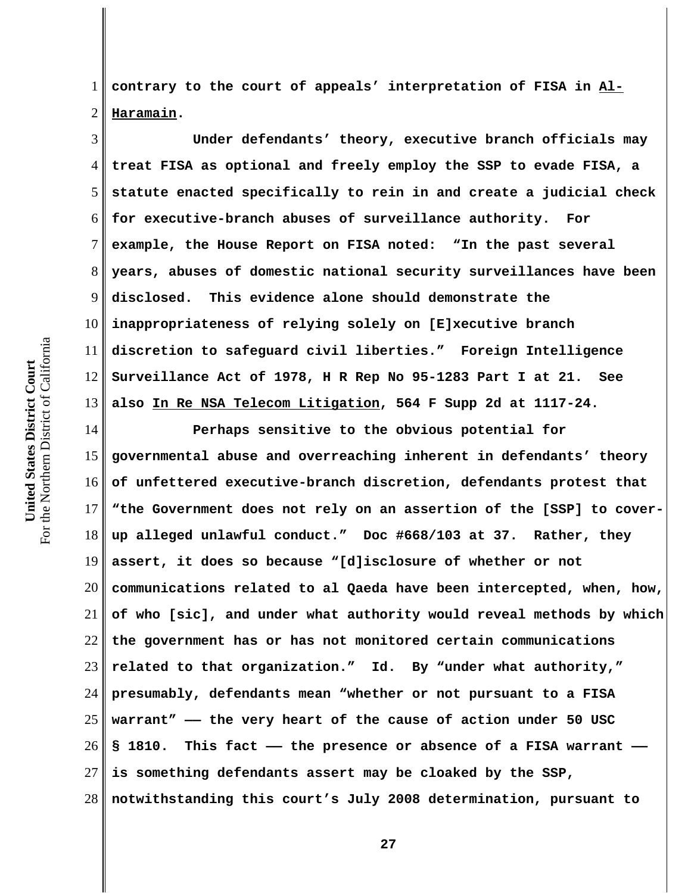1 2 **contrary to the court of appeals' interpretation of FISA in Al-Haramain.** 

3 4 5 6 7 8 9 10 11 12 13 **Under defendants' theory, executive branch officials may treat FISA as optional and freely employ the SSP to evade FISA, a statute enacted specifically to rein in and create a judicial check for executive-branch abuses of surveillance authority. For example, the House Report on FISA noted: "In the past several years, abuses of domestic national security surveillances have been disclosed. This evidence alone should demonstrate the inappropriateness of relying solely on [E]xecutive branch discretion to safeguard civil liberties." Foreign Intelligence Surveillance Act of 1978, H R Rep No 95-1283 Part I at 21. See also In Re NSA Telecom Litigation, 564 F Supp 2d at 1117-24.** 

14 15 16 17 18 19 20 21 22 23 24 25 26 27 28 **Perhaps sensitive to the obvious potential for governmental abuse and overreaching inherent in defendants' theory of unfettered executive-branch discretion, defendants protest that "the Government does not rely on an assertion of the [SSP] to coverup alleged unlawful conduct." Doc #668/103 at 37. Rather, they assert, it does so because "[d]isclosure of whether or not communications related to al Qaeda have been intercepted, when, how, of who [sic], and under what authority would reveal methods by which the government has or has not monitored certain communications related to that organization." Id. By "under what authority," presumably, defendants mean "whether or not pursuant to a FISA warrant" —— the very heart of the cause of action under 50 USC § 1810. This fact —— the presence or absence of a FISA warrant — is something defendants assert may be cloaked by the SSP, notwithstanding this court's July 2008 determination, pursuant to**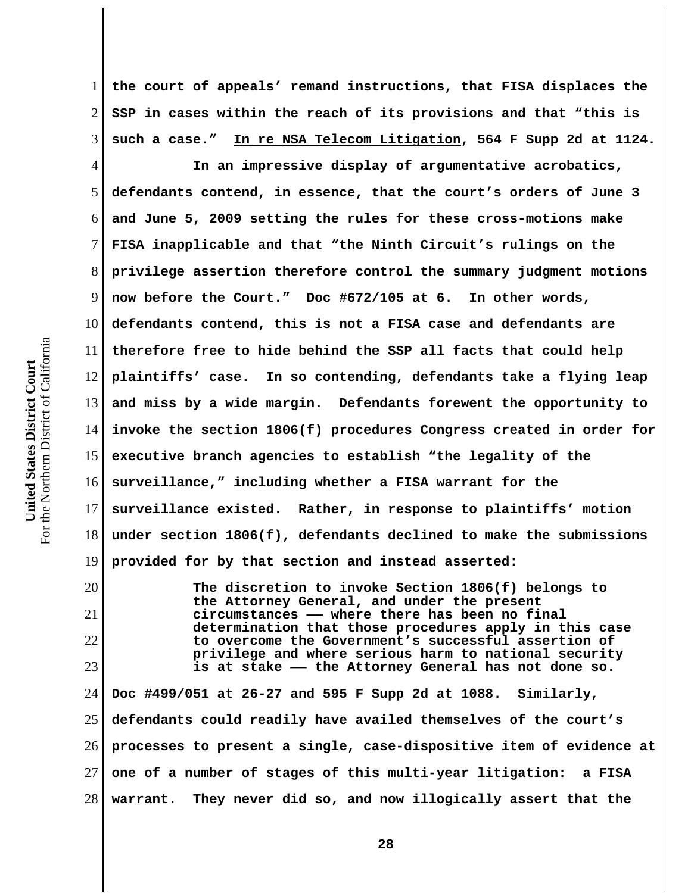7 8 9 10 the Northern District of California For the Northern District of California 11 United States District Court **United States District Court** 12 13 14 15

For<sup>-</sup>

20

21

22

23

1 2 3 **the court of appeals' remand instructions, that FISA displaces the SSP in cases within the reach of its provisions and that "this is such a case." In re NSA Telecom Litigation, 564 F Supp 2d at 1124.** 

4 5 6 16 17 18 19 **In an impressive display of argumentative acrobatics, defendants contend, in essence, that the court's orders of June 3 and June 5, 2009 setting the rules for these cross-motions make FISA inapplicable and that "the Ninth Circuit's rulings on the privilege assertion therefore control the summary judgment motions now before the Court." Doc #672/105 at 6. In other words, defendants contend, this is not a FISA case and defendants are therefore free to hide behind the SSP all facts that could help plaintiffs' case. In so contending, defendants take a flying leap and miss by a wide margin. Defendants forewent the opportunity to invoke the section 1806(f) procedures Congress created in order for executive branch agencies to establish "the legality of the surveillance," including whether a FISA warrant for the surveillance existed. Rather, in response to plaintiffs' motion under section 1806(f), defendants declined to make the submissions provided for by that section and instead asserted:** 

> **The discretion to invoke Section 1806(f) belongs to the Attorney General, and under the present circumstances —— where there has been no final determination that those procedures apply in this case to overcome the Government's successful assertion of privilege and where serious harm to national security is at stake —— the Attorney General has not done so.**

24 25 26 27 28 **Doc #499/051 at 26-27 and 595 F Supp 2d at 1088. Similarly, defendants could readily have availed themselves of the court's processes to present a single, case-dispositive item of evidence at one of a number of stages of this multi-year litigation: a FISA warrant. They never did so, and now illogically assert that the**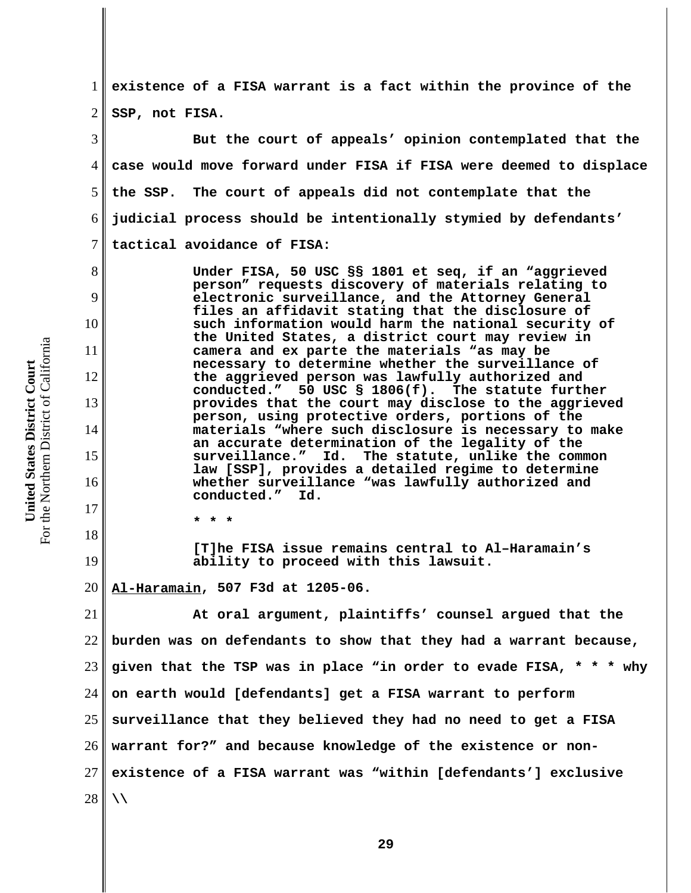1 2 **existence of a FISA warrant is a fact within the province of the SSP, not FISA.** 

3 4 5 6 7 **But the court of appeals' opinion contemplated that the case would move forward under FISA if FISA were deemed to displace the SSP. The court of appeals did not contemplate that the judicial process should be intentionally stymied by defendants' tactical avoidance of FISA:** 

> **Under FISA, 50 USC §§ 1801 et seq, if an "aggrieved person" requests discovery of materials relating to electronic surveillance, and the Attorney General files an affidavit stating that the disclosure of such information would harm the national security of the United States, a district court may review in camera and ex parte the materials "as may be necessary to determine whether the surveillance of the aggrieved person was lawfully authorized and** 50 USC § 1806(f). The statute further **provides that the court may disclose to the aggrieved person, using protective orders, portions of the materials "where such disclosure is necessary to make an accurate determination of the legality of the surveillance." Id. The statute, unlike the common law [SSP], provides a detailed regime to determine whether surveillance "was lawfully authorized and conducted." Id.**

**\* \* \*** 

**[T]he FISA issue remains central to Al–Haramain's ability to proceed with this lawsuit.**

20 **Al-Haramain, 507 F3d at 1205-06.**

21 22 23 24 25 26 27 28 **At oral argument, plaintiffs' counsel argued that the burden was on defendants to show that they had a warrant because, given that the TSP was in place "in order to evade FISA, \* \* \* why on earth would [defendants] get a FISA warrant to perform surveillance that they believed they had no need to get a FISA warrant for?" and because knowledge of the existence or nonexistence of a FISA warrant was "within [defendants'] exclusive \\**

For the Northern District of California For the Northern District of California United States District Court **United States District Court**

8

9

10

11

12

13

14

15

16

17

18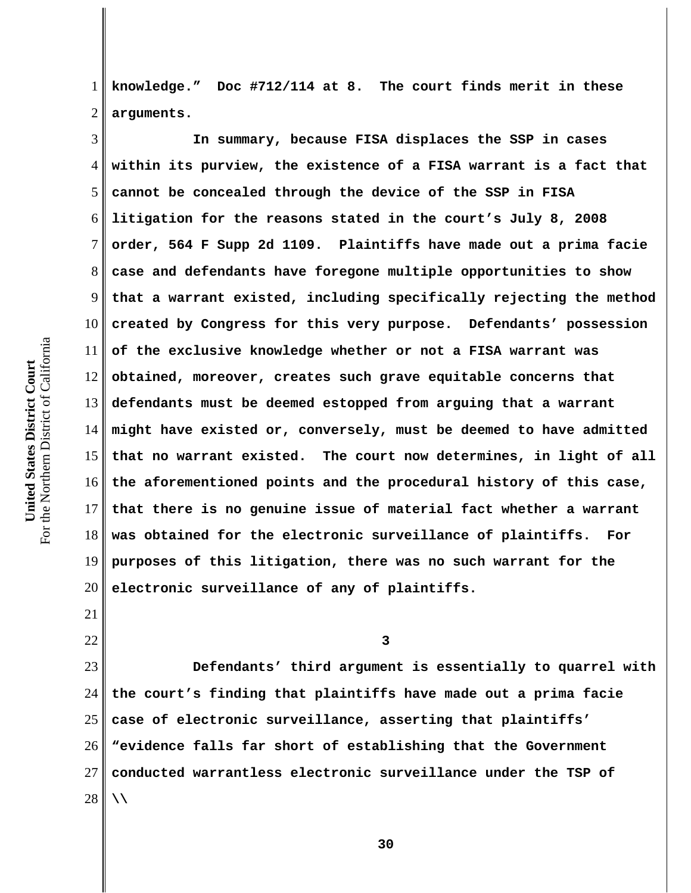1 2 **knowledge." Doc #712/114 at 8. The court finds merit in these arguments.**

3 4 5 6 7 8 9 10 11 12 13 14 15 16 17 18 19 20 **In summary, because FISA displaces the SSP in cases within its purview, the existence of a FISA warrant is a fact that cannot be concealed through the device of the SSP in FISA litigation for the reasons stated in the court's July 8, 2008 order, 564 F Supp 2d 1109. Plaintiffs have made out a prima facie case and defendants have foregone multiple opportunities to show that a warrant existed, including specifically rejecting the method created by Congress for this very purpose. Defendants' possession of the exclusive knowledge whether or not a FISA warrant was obtained, moreover, creates such grave equitable concerns that defendants must be deemed estopped from arguing that a warrant might have existed or, conversely, must be deemed to have admitted that no warrant existed. The court now determines, in light of all the aforementioned points and the procedural history of this case, that there is no genuine issue of material fact whether a warrant was obtained for the electronic surveillance of plaintiffs. For purposes of this litigation, there was no such warrant for the electronic surveillance of any of plaintiffs.** 

21 22

**3**

23 24 25 26 27 28 **Defendants' third argument is essentially to quarrel with the court's finding that plaintiffs have made out a prima facie case of electronic surveillance, asserting that plaintiffs' "evidence falls far short of establishing that the Government conducted warrantless electronic surveillance under the TSP of \\**

For the Northern District of California For the Northern District of California United States District Court **United States District Court**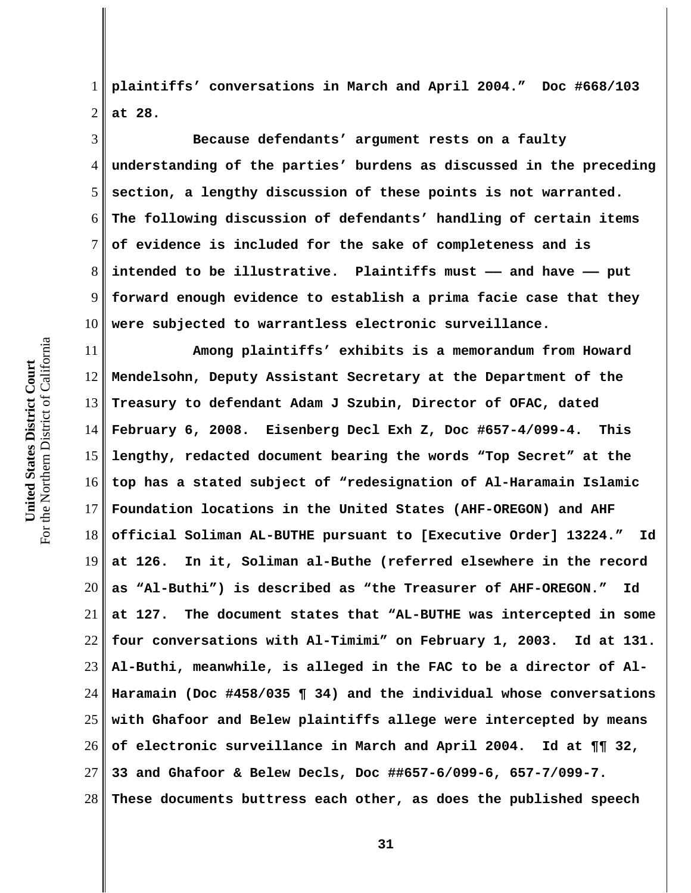For the Northern District of California For the Northern District of California United States District Court **United States District Court**

1 2 **plaintiffs' conversations in March and April 2004." Doc #668/103 at 28.** 

3 4 5 6 7 8 9 10 **Because defendants' argument rests on a faulty understanding of the parties' burdens as discussed in the preceding section, a lengthy discussion of these points is not warranted. The following discussion of defendants' handling of certain items of evidence is included for the sake of completeness and is intended to be illustrative. Plaintiffs must —— and have —— put forward enough evidence to establish a prima facie case that they were subjected to warrantless electronic surveillance.** 

11 12 13 14 15 16 17 18 19 20 21 22 23 24 25 26 27 28 **Among plaintiffs' exhibits is a memorandum from Howard Mendelsohn, Deputy Assistant Secretary at the Department of the Treasury to defendant Adam J Szubin, Director of OFAC, dated February 6, 2008. Eisenberg Decl Exh Z, Doc #657-4/099-4. This lengthy, redacted document bearing the words "Top Secret" at the top has a stated subject of "redesignation of Al-Haramain Islamic Foundation locations in the United States (AHF-OREGON) and AHF official Soliman AL-BUTHE pursuant to [Executive Order] 13224." Id at 126. In it, Soliman al-Buthe (referred elsewhere in the record as "Al-Buthi") is described as "the Treasurer of AHF-OREGON." Id at 127. The document states that "AL-BUTHE was intercepted in some four conversations with Al-Timimi" on February 1, 2003. Id at 131. Al-Buthi, meanwhile, is alleged in the FAC to be a director of Al-Haramain (Doc #458/035 ¶ 34) and the individual whose conversations with Ghafoor and Belew plaintiffs allege were intercepted by means of electronic surveillance in March and April 2004. Id at ¶¶ 32, 33 and Ghafoor & Belew Decls, Doc ##657-6/099-6, 657-7/099-7. These documents buttress each other, as does the published speech**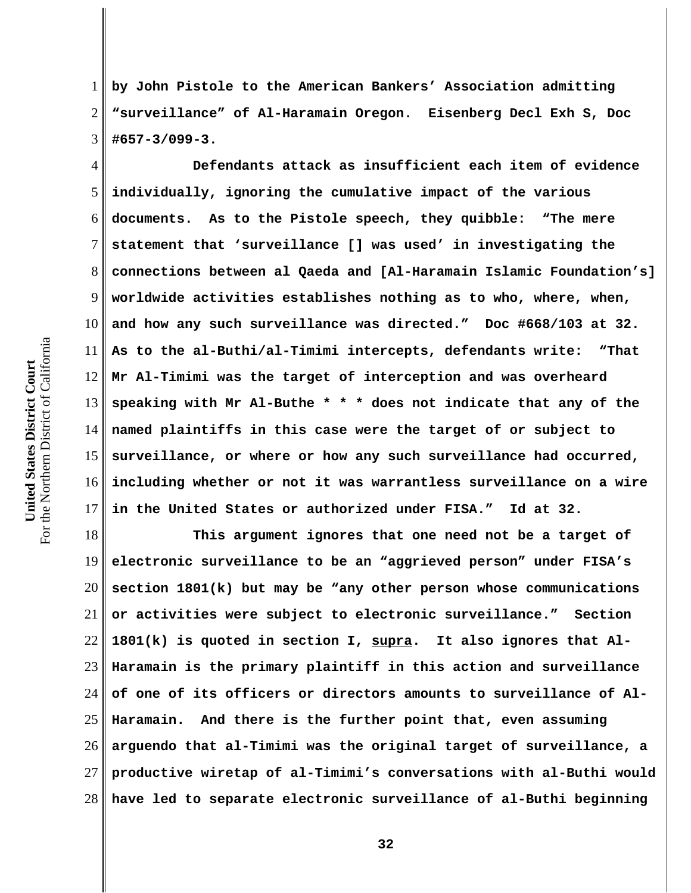1 2 3 **by John Pistole to the American Bankers' Association admitting "surveillance" of Al-Haramain Oregon. Eisenberg Decl Exh S, Doc #657-3/099-3.** 

4 5 6 7 8 9 10 11 12 13 14 15 16 17 **Defendants attack as insufficient each item of evidence individually, ignoring the cumulative impact of the various documents. As to the Pistole speech, they quibble: "The mere statement that 'surveillance [] was used' in investigating the connections between al Qaeda and [Al-Haramain Islamic Foundation's] worldwide activities establishes nothing as to who, where, when, and how any such surveillance was directed." Doc #668/103 at 32. As to the al-Buthi/al-Timimi intercepts, defendants write: "That Mr Al-Timimi was the target of interception and was overheard speaking with Mr Al-Buthe \* \* \* does not indicate that any of the named plaintiffs in this case were the target of or subject to surveillance, or where or how any such surveillance had occurred, including whether or not it was warrantless surveillance on a wire in the United States or authorized under FISA." Id at 32.** 

18 19 20 21 22 23 24 25 26 27 28 **This argument ignores that one need not be a target of electronic surveillance to be an "aggrieved person" under FISA's section 1801(k) but may be "any other person whose communications or activities were subject to electronic surveillance." Section 1801(k) is quoted in section I, supra. It also ignores that Al-Haramain is the primary plaintiff in this action and surveillance of one of its officers or directors amounts to surveillance of Al-Haramain. And there is the further point that, even assuming arguendo that al-Timimi was the original target of surveillance, a productive wiretap of al-Timimi's conversations with al-Buthi would have led to separate electronic surveillance of al-Buthi beginning**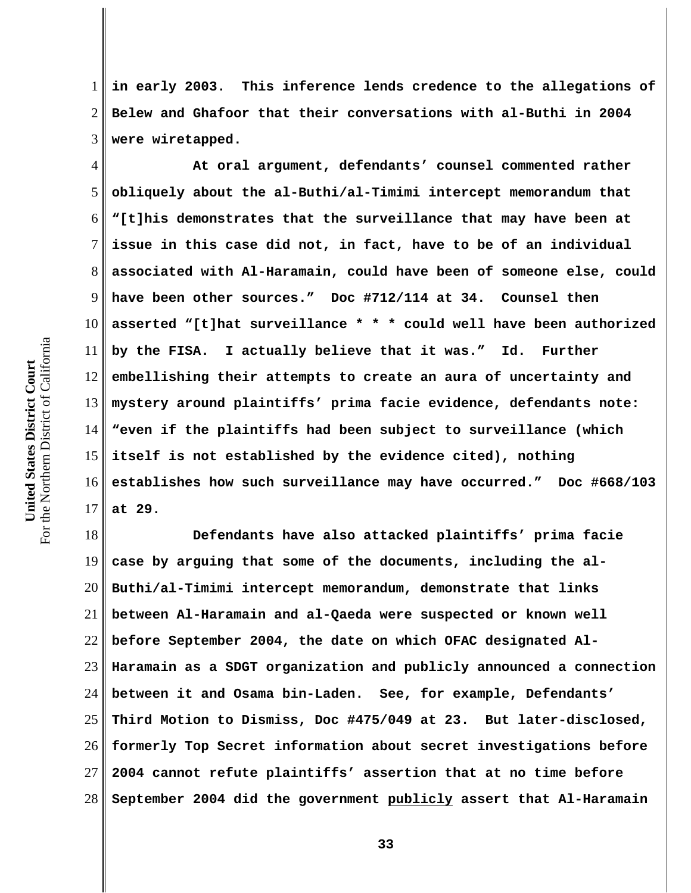1 2 3 **in early 2003. This inference lends credence to the allegations of Belew and Ghafoor that their conversations with al-Buthi in 2004 were wiretapped.** 

4 5 6 7 8 9 10 11 12 13 14 15 16 17 **At oral argument, defendants' counsel commented rather obliquely about the al-Buthi/al-Timimi intercept memorandum that "[t]his demonstrates that the surveillance that may have been at issue in this case did not, in fact, have to be of an individual associated with Al-Haramain, could have been of someone else, could have been other sources." Doc #712/114 at 34. Counsel then asserted "[t]hat surveillance \* \* \* could well have been authorized by the FISA. I actually believe that it was." Id. Further embellishing their attempts to create an aura of uncertainty and mystery around plaintiffs' prima facie evidence, defendants note: "even if the plaintiffs had been subject to surveillance (which itself is not established by the evidence cited), nothing establishes how such surveillance may have occurred." Doc #668/103 at 29.** 

18 19 20 21 22 23 24 25 26 27 28 **Defendants have also attacked plaintiffs' prima facie case by arguing that some of the documents, including the al-Buthi/al-Timimi intercept memorandum, demonstrate that links between Al-Haramain and al-Qaeda were suspected or known well before September 2004, the date on which OFAC designated Al-Haramain as a SDGT organization and publicly announced a connection between it and Osama bin-Laden. See, for example, Defendants' Third Motion to Dismiss, Doc #475/049 at 23. But later-disclosed, formerly Top Secret information about secret investigations before 2004 cannot refute plaintiffs' assertion that at no time before September 2004 did the government publicly assert that Al-Haramain**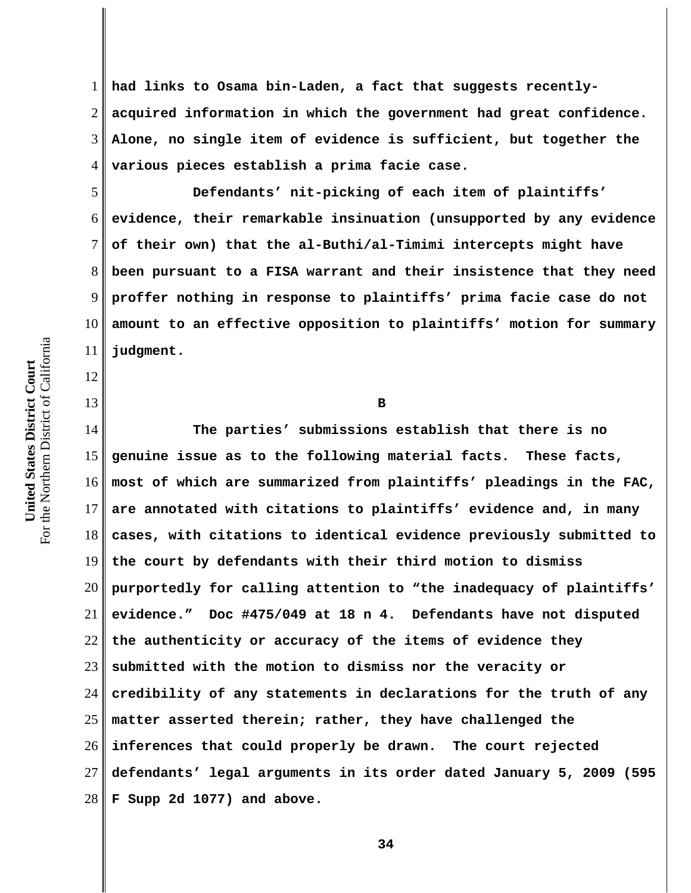1 2 3 4 **had links to Osama bin-Laden, a fact that suggests recentlyacquired information in which the government had great confidence. Alone, no single item of evidence is sufficient, but together the various pieces establish a prima facie case.** 

5 6 7 8 9 10 11 **Defendants' nit-picking of each item of plaintiffs' evidence, their remarkable insinuation (unsupported by any evidence of their own) that the al-Buthi/al-Timimi intercepts might have been pursuant to a FISA warrant and their insistence that they need proffer nothing in response to plaintiffs' prima facie case do not amount to an effective opposition to plaintiffs' motion for summary judgment.**

**B** 

14 15 16 17 18 19 20 21 22 23 24 25 26 27 28 **The parties' submissions establish that there is no genuine issue as to the following material facts. These facts, most of which are summarized from plaintiffs' pleadings in the FAC, are annotated with citations to plaintiffs' evidence and, in many cases, with citations to identical evidence previously submitted to the court by defendants with their third motion to dismiss purportedly for calling attention to "the inadequacy of plaintiffs' evidence." Doc #475/049 at 18 n 4. Defendants have not disputed the authenticity or accuracy of the items of evidence they submitted with the motion to dismiss nor the veracity or credibility of any statements in declarations for the truth of any matter asserted therein; rather, they have challenged the inferences that could properly be drawn. The court rejected defendants' legal arguments in its order dated January 5, 2009 (595 F Supp 2d 1077) and above.**

For the Northern District of California For the Northern District of California United States District Court **United States District Court**

12

13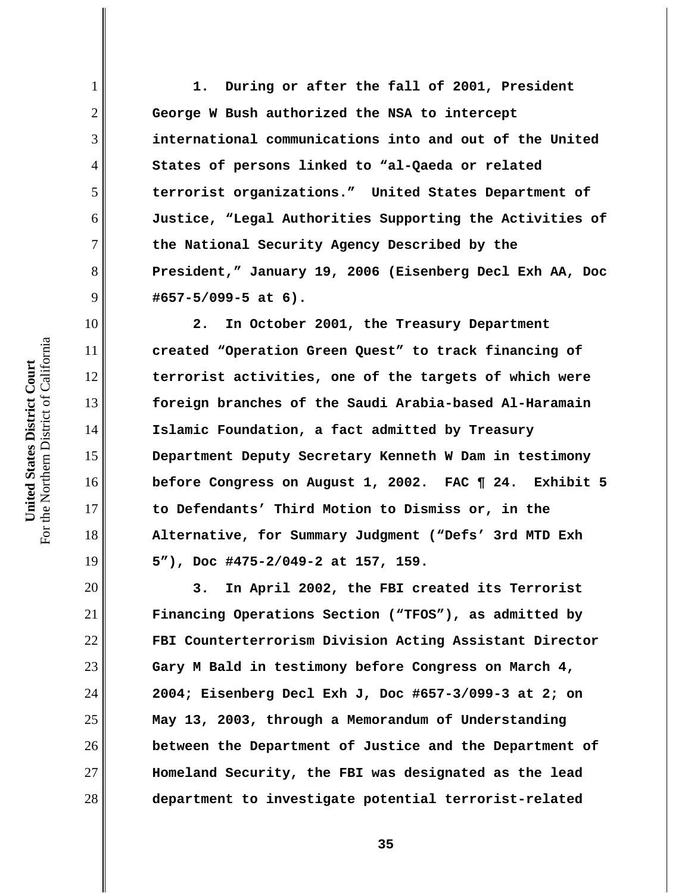**1. During or after the fall of 2001, President George W Bush authorized the NSA to intercept international communications into and out of the United States of persons linked to "al-Qaeda or related terrorist organizations." United States Department of Justice, "Legal Authorities Supporting the Activities of the National Security Agency Described by the President," January 19, 2006 (Eisenberg Decl Exh AA, Doc #657-5/099-5 at 6).** 

**2. In October 2001, the Treasury Department created "Operation Green Quest" to track financing of terrorist activities, one of the targets of which were foreign branches of the Saudi Arabia-based Al-Haramain Islamic Foundation, a fact admitted by Treasury Department Deputy Secretary Kenneth W Dam in testimony before Congress on August 1, 2002. FAC ¶ 24. Exhibit 5 to Defendants' Third Motion to Dismiss or, in the Alternative, for Summary Judgment ("Defs' 3rd MTD Exh 5"), Doc #475-2/049-2 at 157, 159.** 

**3. In April 2002, the FBI created its Terrorist Financing Operations Section ("TFOS"), as admitted by FBI Counterterrorism Division Acting Assistant Director Gary M Bald in testimony before Congress on March 4, 2004; Eisenberg Decl Exh J, Doc #657-3/099-3 at 2; on May 13, 2003, through a Memorandum of Understanding between the Department of Justice and the Department of Homeland Security, the FBI was designated as the lead department to investigate potential terrorist-related**

1

2

3

4

5

6

7

8

9

10

11

12

13

14

15

16

17

18

19

20

21

22

23

24

25

26

27

28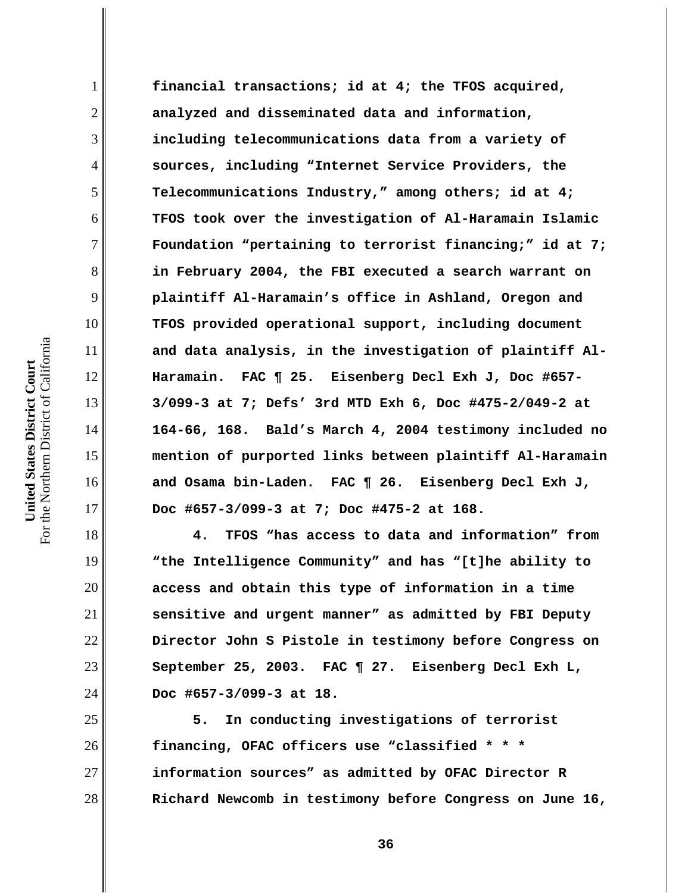**financial transactions; id at 4; the TFOS acquired, analyzed and disseminated data and information, including telecommunications data from a variety of sources, including "Internet Service Providers, the Telecommunications Industry," among others; id at 4; TFOS took over the investigation of Al-Haramain Islamic Foundation "pertaining to terrorist financing;" id at 7; in February 2004, the FBI executed a search warrant on plaintiff Al-Haramain's office in Ashland, Oregon and TFOS provided operational support, including document and data analysis, in the investigation of plaintiff Al-Haramain. FAC ¶ 25. Eisenberg Decl Exh J, Doc #657- 3/099-3 at 7; Defs' 3rd MTD Exh 6, Doc #475-2/049-2 at 164-66, 168. Bald's March 4, 2004 testimony included no mention of purported links between plaintiff Al-Haramain and Osama bin-Laden. FAC ¶ 26. Eisenberg Decl Exh J, Doc #657-3/099-3 at 7; Doc #475-2 at 168.**

**4. TFOS "has access to data and information" from "the Intelligence Community" and has "[t]he ability to access and obtain this type of information in a time sensitive and urgent manner" as admitted by FBI Deputy Director John S Pistole in testimony before Congress on September 25, 2003. FAC ¶ 27. Eisenberg Decl Exh L, Doc #657-3/099-3 at 18.** 

**5. In conducting investigations of terrorist financing, OFAC officers use "classified \* \* \* information sources" as admitted by OFAC Director R Richard Newcomb in testimony before Congress on June 16,**

1

2

3

4

5

6

7

8

9

10

11

12

13

14

15

16

17

18

19

20

21

22

23

24

25

26

27

28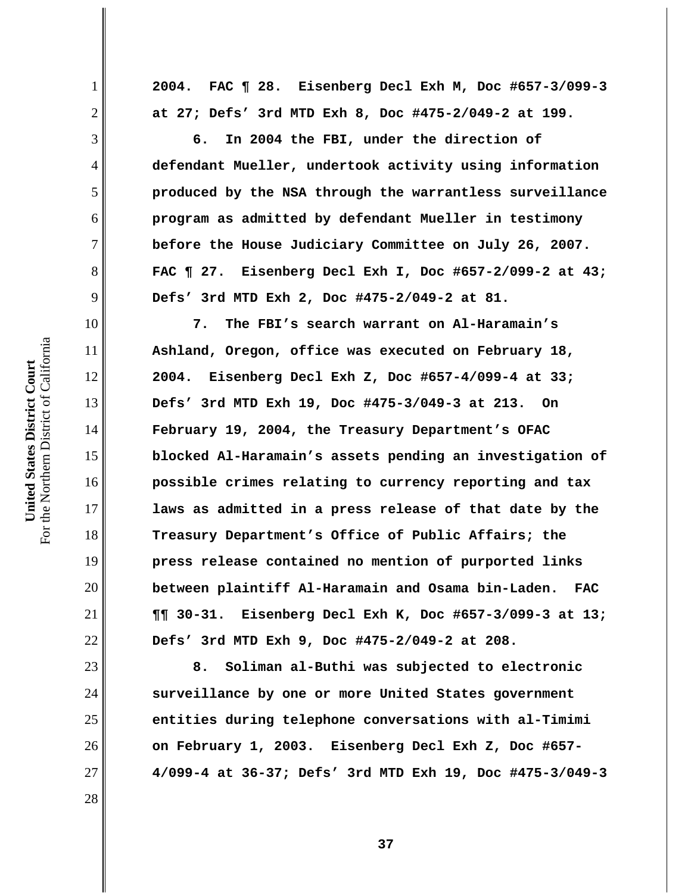**2004. FAC ¶ 28. Eisenberg Decl Exh M, Doc #657-3/099-3 at 27; Defs' 3rd MTD Exh 8, Doc #475-2/049-2 at 199.**

**6. In 2004 the FBI, under the direction of defendant Mueller, undertook activity using information produced by the NSA through the warrantless surveillance program as admitted by defendant Mueller in testimony before the House Judiciary Committee on July 26, 2007. FAC ¶ 27. Eisenberg Decl Exh I, Doc #657-2/099-2 at 43; Defs' 3rd MTD Exh 2, Doc #475-2/049-2 at 81.** 

**7. The FBI's search warrant on Al-Haramain's Ashland, Oregon, office was executed on February 18, 2004. Eisenberg Decl Exh Z, Doc #657-4/099-4 at 33; Defs' 3rd MTD Exh 19, Doc #475-3/049-3 at 213. On February 19, 2004, the Treasury Department's OFAC blocked Al-Haramain's assets pending an investigation of possible crimes relating to currency reporting and tax laws as admitted in a press release of that date by the Treasury Department's Office of Public Affairs; the press release contained no mention of purported links between plaintiff Al-Haramain and Osama bin-Laden. FAC ¶¶ 30-31. Eisenberg Decl Exh K, Doc #657-3/099-3 at 13; Defs' 3rd MTD Exh 9, Doc #475-2/049-2 at 208.** 

**8. Soliman al-Buthi was subjected to electronic surveillance by one or more United States government entities during telephone conversations with al-Timimi on February 1, 2003. Eisenberg Decl Exh Z, Doc #657- 4/099-4 at 36-37; Defs' 3rd MTD Exh 19, Doc #475-3/049-3**

1

2

3

4

5

6

7

8

9

10

11

12

13

14

15

16

17

18

19

20

21

22

23

24

25

26

27

28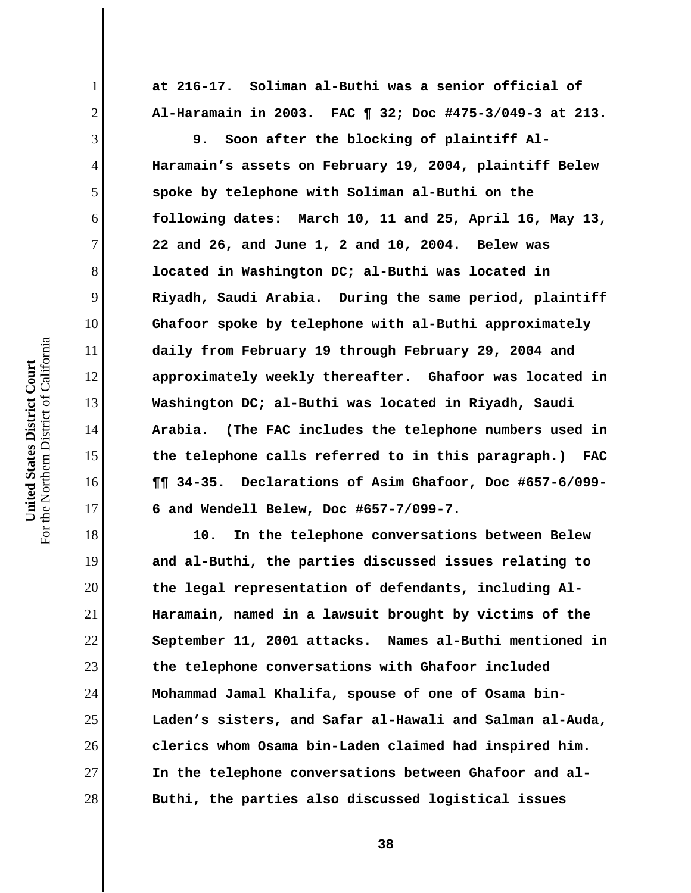**at 216-17. Soliman al-Buthi was a senior official of Al-Haramain in 2003. FAC ¶ 32; Doc #475-3/049-3 at 213.**

**9. Soon after the blocking of plaintiff Al-Haramain's assets on February 19, 2004, plaintiff Belew spoke by telephone with Soliman al-Buthi on the following dates: March 10, 11 and 25, April 16, May 13, 22 and 26, and June 1, 2 and 10, 2004. Belew was located in Washington DC; al-Buthi was located in Riyadh, Saudi Arabia. During the same period, plaintiff Ghafoor spoke by telephone with al-Buthi approximately daily from February 19 through February 29, 2004 and approximately weekly thereafter. Ghafoor was located in Washington DC; al-Buthi was located in Riyadh, Saudi Arabia. (The FAC includes the telephone numbers used in the telephone calls referred to in this paragraph.) FAC ¶¶ 34-35. Declarations of Asim Ghafoor, Doc #657-6/099- 6 and Wendell Belew, Doc #657-7/099-7.** 

**10. In the telephone conversations between Belew and al-Buthi, the parties discussed issues relating to the legal representation of defendants, including Al-Haramain, named in a lawsuit brought by victims of the September 11, 2001 attacks. Names al-Buthi mentioned in the telephone conversations with Ghafoor included Mohammad Jamal Khalifa, spouse of one of Osama bin-Laden's sisters, and Safar al-Hawali and Salman al-Auda, clerics whom Osama bin-Laden claimed had inspired him. In the telephone conversations between Ghafoor and al-Buthi, the parties also discussed logistical issues**

1

2

3

4

5

6

7

8

9

10

11

12

13

14

15

16

17

18

19

20

21

22

23

24

25

26

27

28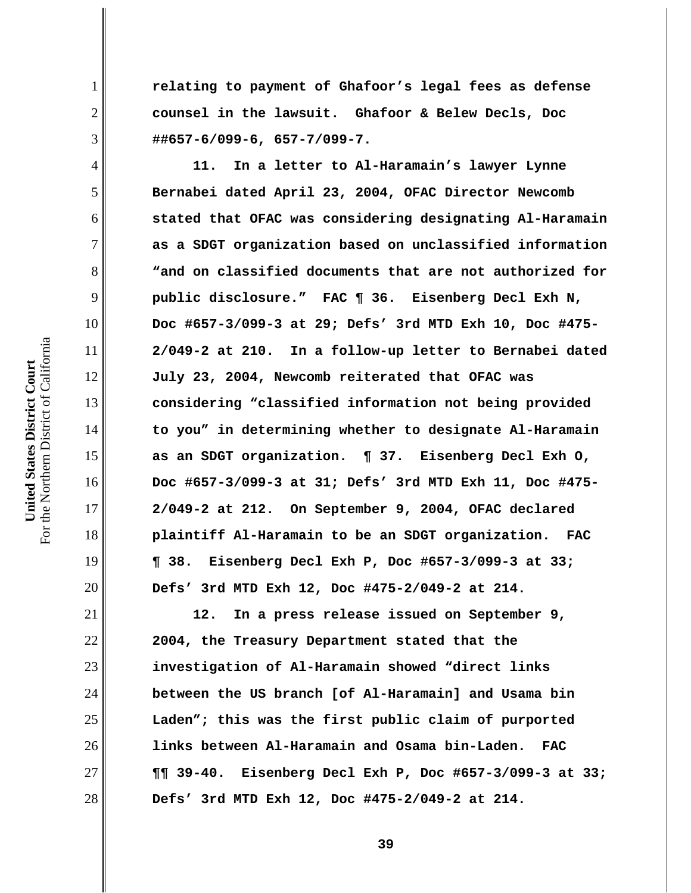**relating to payment of Ghafoor's legal fees as defense counsel in the lawsuit. Ghafoor & Belew Decls, Doc ##657-6/099-6, 657-7/099-7.** 

**11. In a letter to Al-Haramain's lawyer Lynne Bernabei dated April 23, 2004, OFAC Director Newcomb stated that OFAC was considering designating Al-Haramain as a SDGT organization based on unclassified information "and on classified documents that are not authorized for public disclosure." FAC ¶ 36. Eisenberg Decl Exh N, Doc #657-3/099-3 at 29; Defs' 3rd MTD Exh 10, Doc #475- 2/049-2 at 210. In a follow-up letter to Bernabei dated July 23, 2004, Newcomb reiterated that OFAC was considering "classified information not being provided to you" in determining whether to designate Al-Haramain as an SDGT organization. ¶ 37. Eisenberg Decl Exh O, Doc #657-3/099-3 at 31; Defs' 3rd MTD Exh 11, Doc #475- 2/049-2 at 212. On September 9, 2004, OFAC declared plaintiff Al-Haramain to be an SDGT organization. FAC ¶ 38. Eisenberg Decl Exh P, Doc #657-3/099-3 at 33; Defs' 3rd MTD Exh 12, Doc #475-2/049-2 at 214.** 

**12. In a press release issued on September 9, 2004, the Treasury Department stated that the investigation of Al-Haramain showed "direct links between the US branch [of Al-Haramain] and Usama bin Laden"; this was the first public claim of purported links between Al-Haramain and Osama bin-Laden. FAC ¶¶ 39-40. Eisenberg Decl Exh P, Doc #657-3/099-3 at 33; Defs' 3rd MTD Exh 12, Doc #475-2/049-2 at 214.** 

1

2

3

4

5

6

7

8

9

10

11

12

13

14

15

16

17

18

19

20

21

22

23

24

25

26

27

28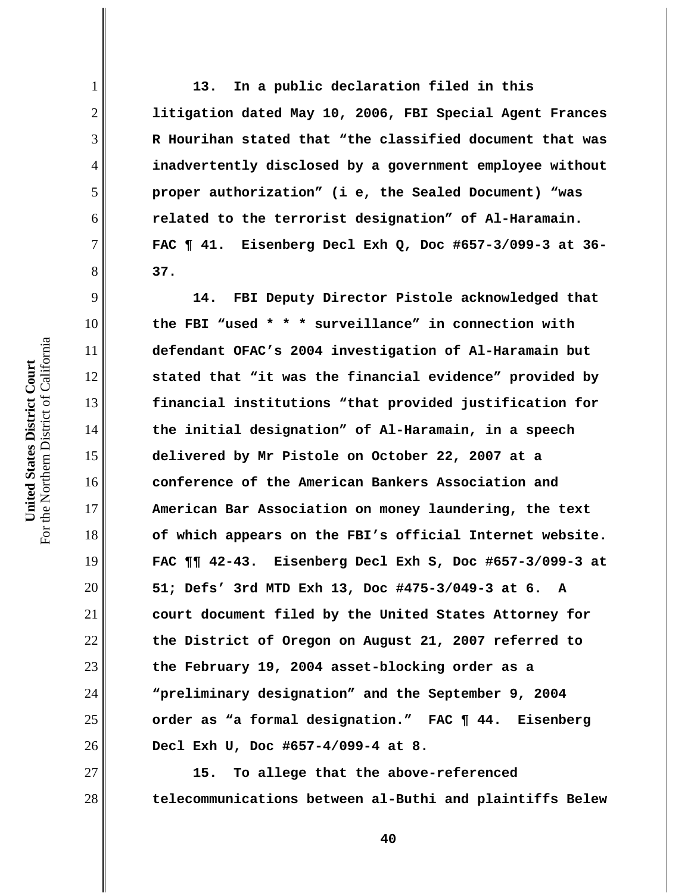**13. In a public declaration filed in this litigation dated May 10, 2006, FBI Special Agent Frances R Hourihan stated that "the classified document that was inadvertently disclosed by a government employee without proper authorization" (i e, the Sealed Document) "was related to the terrorist designation" of Al-Haramain. FAC ¶ 41. Eisenberg Decl Exh Q, Doc #657-3/099-3 at 36- 37.** 

**14. FBI Deputy Director Pistole acknowledged that the FBI "used \* \* \* surveillance" in connection with defendant OFAC's 2004 investigation of Al-Haramain but stated that "it was the financial evidence" provided by financial institutions "that provided justification for the initial designation" of Al-Haramain, in a speech delivered by Mr Pistole on October 22, 2007 at a conference of the American Bankers Association and American Bar Association on money laundering, the text of which appears on the FBI's official Internet website. FAC ¶¶ 42-43. Eisenberg Decl Exh S, Doc #657-3/099-3 at 51; Defs' 3rd MTD Exh 13, Doc #475-3/049-3 at 6. A court document filed by the United States Attorney for the District of Oregon on August 21, 2007 referred to the February 19, 2004 asset-blocking order as a "preliminary designation" and the September 9, 2004 order as "a formal designation." FAC ¶ 44. Eisenberg Decl Exh U, Doc #657-4/099-4 at 8.** 

**15. To allege that the above-referenced telecommunications between al-Buthi and plaintiffs Belew**

1

2

3

4

5

6

7

8

9

10

11

12

13

14

15

16

17

18

19

20

21

22

23

24

25

26

27

28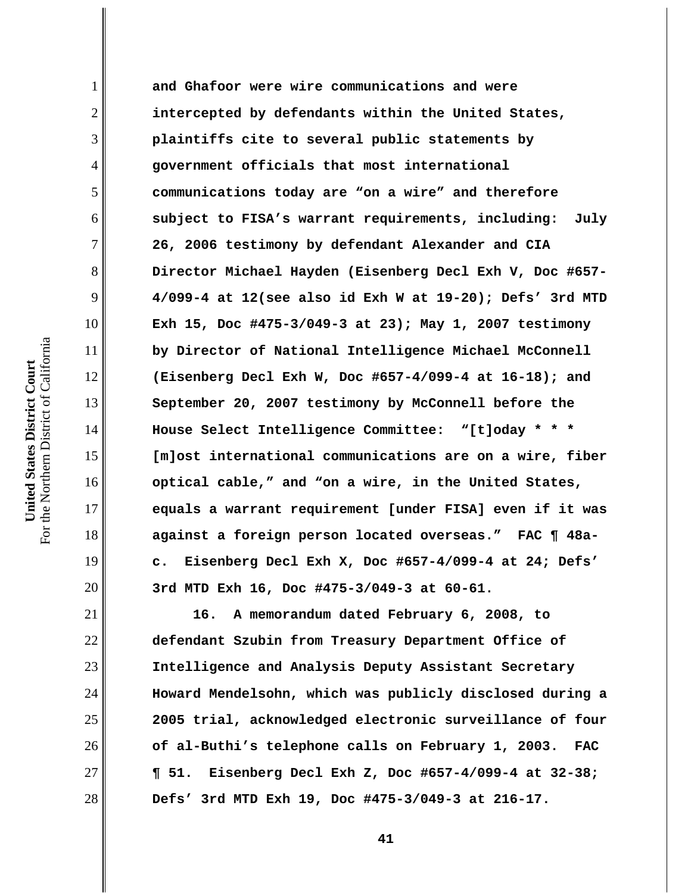**and Ghafoor were wire communications and were intercepted by defendants within the United States, plaintiffs cite to several public statements by government officials that most international communications today are "on a wire" and therefore subject to FISA's warrant requirements, including: July 26, 2006 testimony by defendant Alexander and CIA Director Michael Hayden (Eisenberg Decl Exh V, Doc #657- 4/099-4 at 12(see also id Exh W at 19-20); Defs' 3rd MTD Exh 15, Doc #475-3/049-3 at 23); May 1, 2007 testimony by Director of National Intelligence Michael McConnell (Eisenberg Decl Exh W, Doc #657-4/099-4 at 16-18); and September 20, 2007 testimony by McConnell before the House Select Intelligence Committee: "[t]oday \* \* \* [m]ost international communications are on a wire, fiber optical cable," and "on a wire, in the United States, equals a warrant requirement [under FISA] even if it was against a foreign person located overseas." FAC ¶ 48ac. Eisenberg Decl Exh X, Doc #657-4/099-4 at 24; Defs' 3rd MTD Exh 16, Doc #475-3/049-3 at 60-61.**

**16. A memorandum dated February 6, 2008, to defendant Szubin from Treasury Department Office of Intelligence and Analysis Deputy Assistant Secretary Howard Mendelsohn, which was publicly disclosed during a 2005 trial, acknowledged electronic surveillance of four of al-Buthi's telephone calls on February 1, 2003. FAC ¶ 51. Eisenberg Decl Exh Z, Doc #657-4/099-4 at 32-38; Defs' 3rd MTD Exh 19, Doc #475-3/049-3 at 216-17.**

1

2

3

4

5

6

7

8

9

10

11

12

13

14

15

16

17

18

19

20

21

22

23

24

25

26

27

28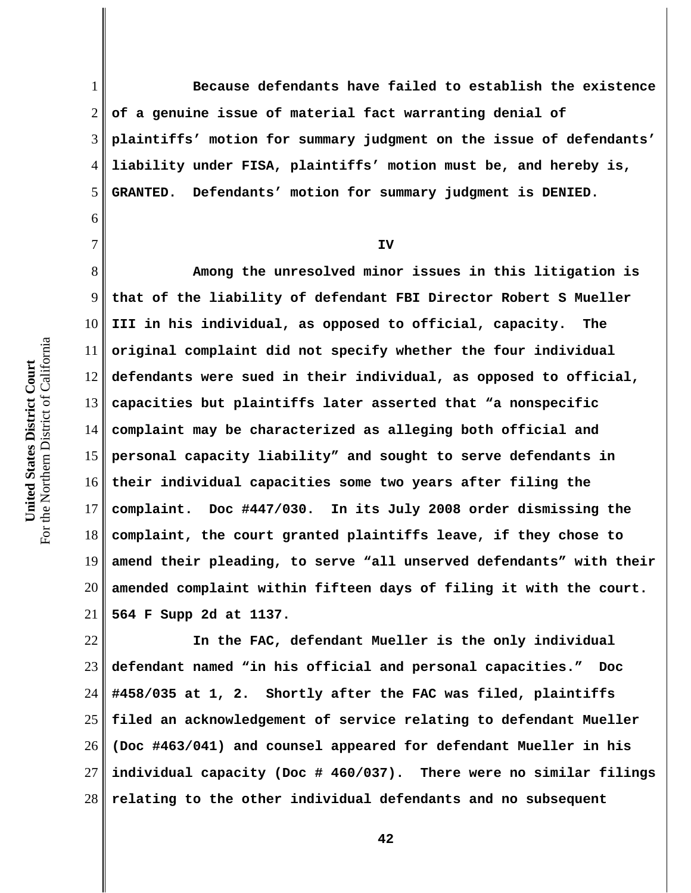6

7

1 2 3 4 5 **Because defendants have failed to establish the existence of a genuine issue of material fact warranting denial of plaintiffs' motion for summary judgment on the issue of defendants' liability under FISA, plaintiffs' motion must be, and hereby is, GRANTED. Defendants' motion for summary judgment is DENIED.** 

**IV**

8 9 10 11 12 13 14 15 16 17 18 19 20 21 **Among the unresolved minor issues in this litigation is that of the liability of defendant FBI Director Robert S Mueller III in his individual, as opposed to official, capacity. The original complaint did not specify whether the four individual defendants were sued in their individual, as opposed to official, capacities but plaintiffs later asserted that "a nonspecific complaint may be characterized as alleging both official and personal capacity liability" and sought to serve defendants in their individual capacities some two years after filing the complaint. Doc #447/030. In its July 2008 order dismissing the complaint, the court granted plaintiffs leave, if they chose to amend their pleading, to serve "all unserved defendants" with their amended complaint within fifteen days of filing it with the court. 564 F Supp 2d at 1137.** 

22 23 24 25 26 27 28 **In the FAC, defendant Mueller is the only individual defendant named "in his official and personal capacities." Doc #458/035 at 1, 2. Shortly after the FAC was filed, plaintiffs filed an acknowledgement of service relating to defendant Mueller (Doc #463/041) and counsel appeared for defendant Mueller in his individual capacity (Doc # 460/037). There were no similar filings relating to the other individual defendants and no subsequent**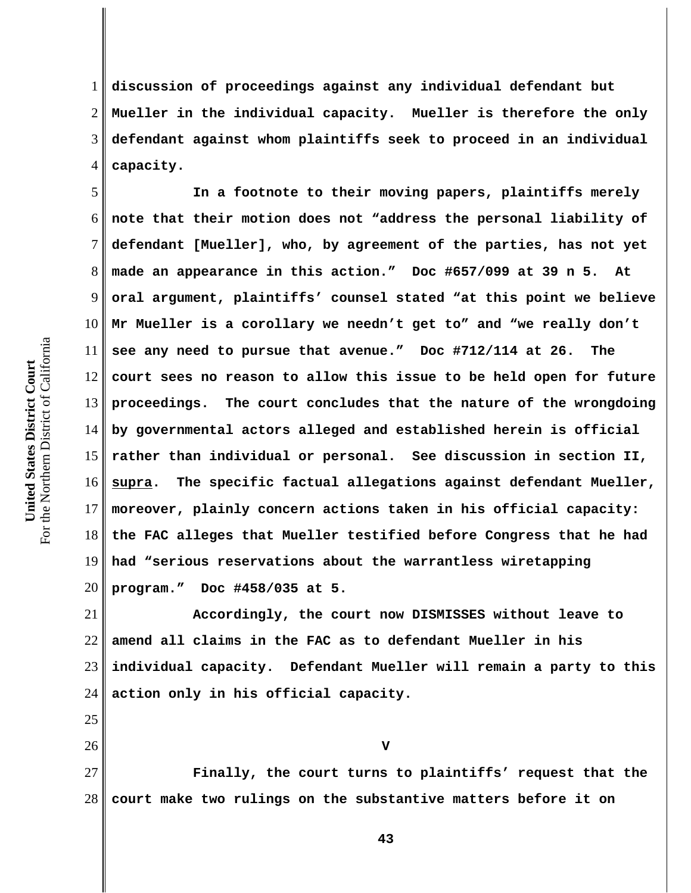1 2 3 4 **discussion of proceedings against any individual defendant but Mueller in the individual capacity. Mueller is therefore the only defendant against whom plaintiffs seek to proceed in an individual capacity.** 

5 6 7 8 9 10 11 12 13 14 15 16 17 18 19 20 **In a footnote to their moving papers, plaintiffs merely note that their motion does not "address the personal liability of defendant [Mueller], who, by agreement of the parties, has not yet made an appearance in this action." Doc #657/099 at 39 n 5. At oral argument, plaintiffs' counsel stated "at this point we believe Mr Mueller is a corollary we needn't get to" and "we really don't see any need to pursue that avenue." Doc #712/114 at 26. The court sees no reason to allow this issue to be held open for future proceedings. The court concludes that the nature of the wrongdoing by governmental actors alleged and established herein is official rather than individual or personal. See discussion in section II, supra. The specific factual allegations against defendant Mueller, moreover, plainly concern actions taken in his official capacity: the FAC alleges that Mueller testified before Congress that he had had "serious reservations about the warrantless wiretapping program." Doc #458/035 at 5.** 

21 22 23 24 **Accordingly, the court now DISMISSES without leave to amend all claims in the FAC as to defendant Mueller in his individual capacity. Defendant Mueller will remain a party to this action only in his official capacity.** 

27 28 **Finally, the court turns to plaintiffs' request that the court make two rulings on the substantive matters before it on**

25

26

**V**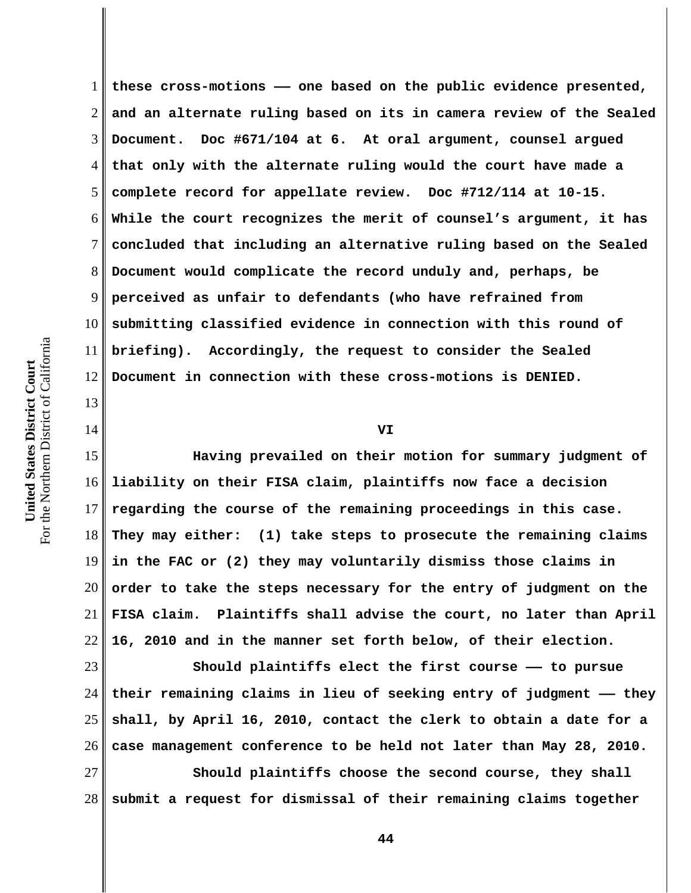13

14

1 2 3 4 5 6 7 8 9 10 11 12 **these cross-motions —— one based on the public evidence presented, and an alternate ruling based on its in camera review of the Sealed Document. Doc #671/104 at 6. At oral argument, counsel argued that only with the alternate ruling would the court have made a complete record for appellate review. Doc #712/114 at 10-15. While the court recognizes the merit of counsel's argument, it has concluded that including an alternative ruling based on the Sealed Document would complicate the record unduly and, perhaps, be perceived as unfair to defendants (who have refrained from submitting classified evidence in connection with this round of briefing). Accordingly, the request to consider the Sealed Document in connection with these cross-motions is DENIED.**

15 16 17 18 19 20 21 22 **Having prevailed on their motion for summary judgment of liability on their FISA claim, plaintiffs now face a decision regarding the course of the remaining proceedings in this case. They may either: (1) take steps to prosecute the remaining claims in the FAC or (2) they may voluntarily dismiss those claims in order to take the steps necessary for the entry of judgment on the FISA claim. Plaintiffs shall advise the court, no later than April 16, 2010 and in the manner set forth below, of their election.**

**VI**

23 24 25 26 **Should plaintiffs elect the first course —— to pursue their remaining claims in lieu of seeking entry of judgment —— they shall, by April 16, 2010, contact the clerk to obtain a date for a case management conference to be held not later than May 28, 2010.** 

27 28 **Should plaintiffs choose the second course, they shall submit a request for dismissal of their remaining claims together**